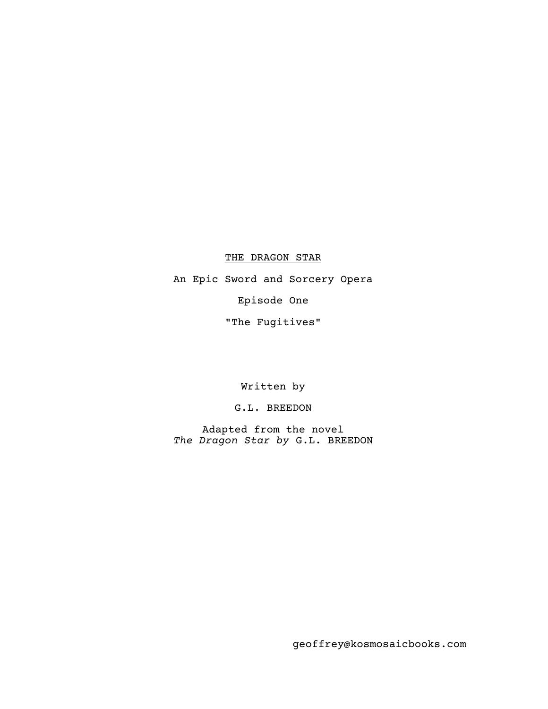THE DRAGON STAR

An Epic Sword and Sorcery Opera Episode One "The Fugitives"

Written by

G.L. BREEDON

Adapted from the novel *The Dragon Star by* G.L. BREEDON

geoffrey@kosmosaicbooks.com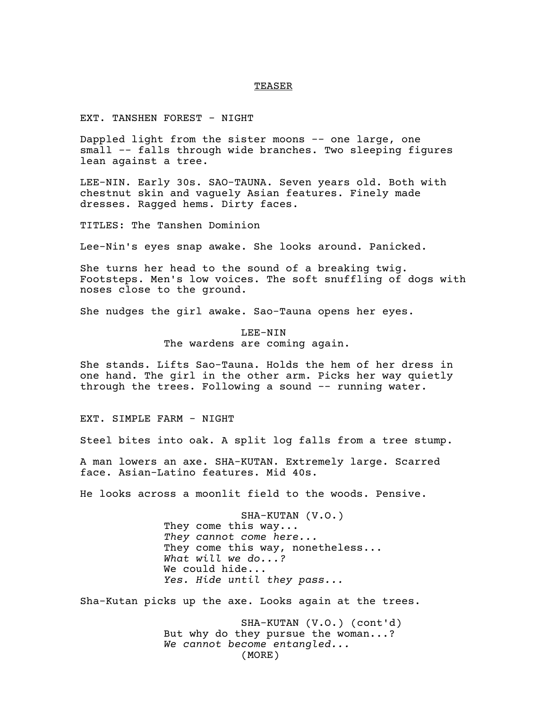### TEASER

EXT. TANSHEN FOREST - NIGHT

Dappled light from the sister moons -- one large, one small -- falls through wide branches. Two sleeping figures lean against a tree.

LEE-NIN. Early 30s. SAO-TAUNA. Seven years old. Both with chestnut skin and vaguely Asian features. Finely made dresses. Ragged hems. Dirty faces.

TITLES: The Tanshen Dominion

Lee-Nin's eyes snap awake. She looks around. Panicked.

She turns her head to the sound of a breaking twig. Footsteps. Men's low voices. The soft snuffling of dogs with noses close to the ground.

She nudges the girl awake. Sao-Tauna opens her eyes.

LEE-NIN The wardens are coming again.

She stands. Lifts Sao-Tauna. Holds the hem of her dress in one hand. The girl in the other arm. Picks her way quietly through the trees. Following a sound -- running water.

EXT. SIMPLE FARM - NIGHT

Steel bites into oak. A split log falls from a tree stump.

A man lowers an axe. SHA-KUTAN. Extremely large. Scarred face. Asian-Latino features. Mid 40s.

He looks across a moonlit field to the woods. Pensive.

SHA-KUTAN (V.O.) They come this way... *They cannot come here...* They come this way, nonetheless... *What will we do...?* We could hide... *Yes. Hide until they pass...*

Sha-Kutan picks up the axe. Looks again at the trees.

SHA-KUTAN (V.O.) (cont'd) But why do they pursue the woman...? *We cannot become entangled...* (MORE)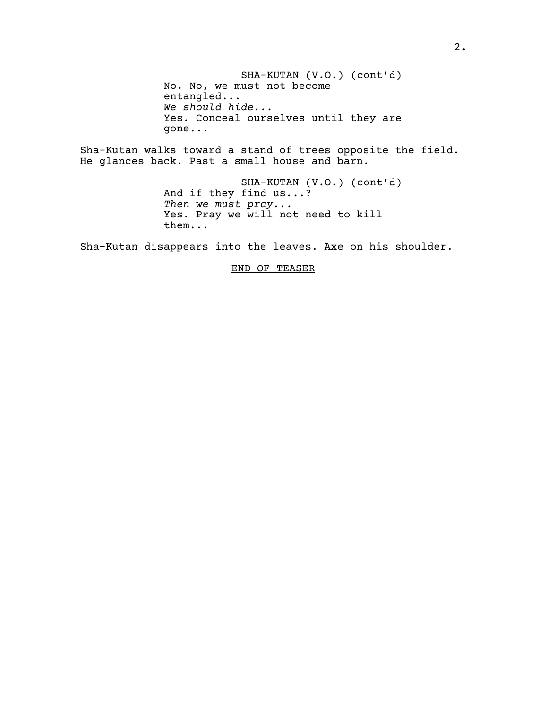No. No, we must not become SHA-KUTAN (V.O.) (cont'd) entangled... *We should hide...* Yes. Conceal ourselves until they are gone...

Sha-Kutan walks toward a stand of trees opposite the field. He glances back. Past a small house and barn.

> SHA-KUTAN (V.O.) (cont'd) And if they find us...? *Then we must pray..*. Yes. Pray we will not need to kill them...

Sha-Kutan disappears into the leaves. Axe on his shoulder.

# END OF TEASER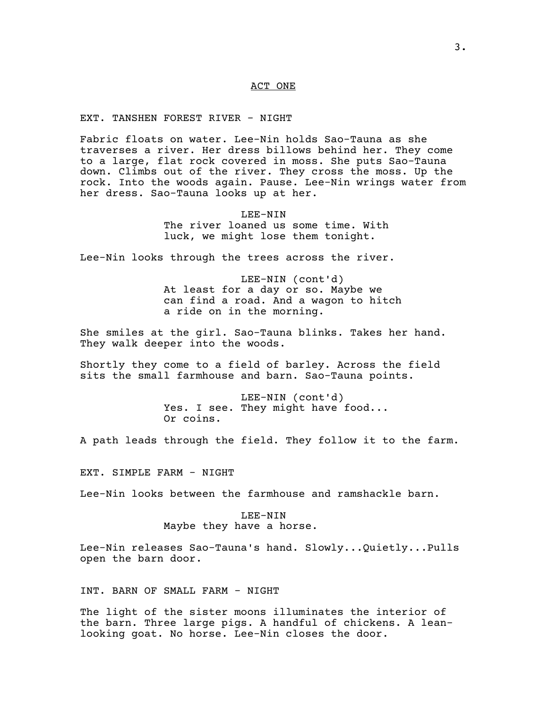# ACT ONE

EXT. TANSHEN FOREST RIVER - NIGHT

Fabric floats on water. Lee-Nin holds Sao-Tauna as she traverses a river. Her dress billows behind her. They come to a large, flat rock covered in moss. She puts Sao-Tauna down. Climbs out of the river. They cross the moss. Up the rock. Into the woods again. Pause. Lee-Nin wrings water from her dress. Sao-Tauna looks up at her.

> LEE-NIN The river loaned us some time. With luck, we might lose them tonight.

Lee-Nin looks through the trees across the river.

LEE-NIN (cont'd) At least for a day or so. Maybe we can find a road. And a wagon to hitch a ride on in the morning.

She smiles at the girl. Sao-Tauna blinks. Takes her hand. They walk deeper into the woods.

Shortly they come to a field of barley. Across the field sits the small farmhouse and barn. Sao-Tauna points.

> LEE-NIN (cont'd) Yes. I see. They might have food... Or coins.

A path leads through the field. They follow it to the farm.

EXT. SIMPLE FARM - NIGHT

Lee-Nin looks between the farmhouse and ramshackle barn.

# LEE-NIN Maybe they have a horse.

Lee-Nin releases Sao-Tauna's hand. Slowly...Quietly...Pulls open the barn door.

INT. BARN OF SMALL FARM - NIGHT

The light of the sister moons illuminates the interior of the barn. Three large pigs. A handful of chickens. A leanlooking goat. No horse. Lee-Nin closes the door.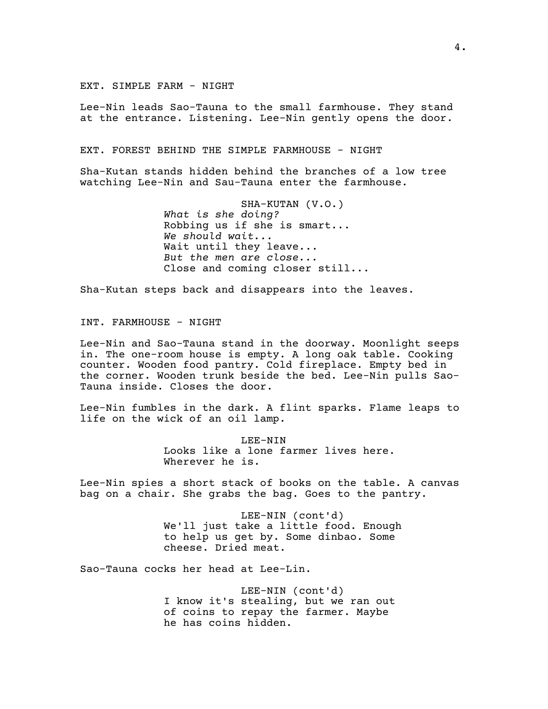EXT. SIMPLE FARM - NIGHT

Lee-Nin leads Sao-Tauna to the small farmhouse. They stand at the entrance. Listening. Lee-Nin gently opens the door.

EXT. FOREST BEHIND THE SIMPLE FARMHOUSE - NIGHT

Sha-Kutan stands hidden behind the branches of a low tree watching Lee-Nin and Sau-Tauna enter the farmhouse.

> SHA-KUTAN (V.O.) *What is she doing?* Robbing us if she is smart... *We should wait...* Wait until they leave... *But the men are close...* Close and coming closer still...

Sha-Kutan steps back and disappears into the leaves.

INT. FARMHOUSE - NIGHT

Lee-Nin and Sao-Tauna stand in the doorway. Moonlight seeps in. The one-room house is empty. A long oak table. Cooking counter. Wooden food pantry. Cold fireplace. Empty bed in the corner. Wooden trunk beside the bed. Lee-Nin pulls Sao-Tauna inside. Closes the door.

Lee-Nin fumbles in the dark. A flint sparks. Flame leaps to life on the wick of an oil lamp.

> LEE-NIN Looks like a lone farmer lives here. Wherever he is.

Lee-Nin spies a short stack of books on the table. A canvas bag on a chair. She grabs the bag. Goes to the pantry.

> LEE-NIN (cont'd) We'll just take a little food. Enough to help us get by. Some dinbao. Some cheese. Dried meat.

Sao-Tauna cocks her head at Lee-Lin.

LEE-NIN (cont'd) I know it's stealing, but we ran out of coins to repay the farmer. Maybe he has coins hidden.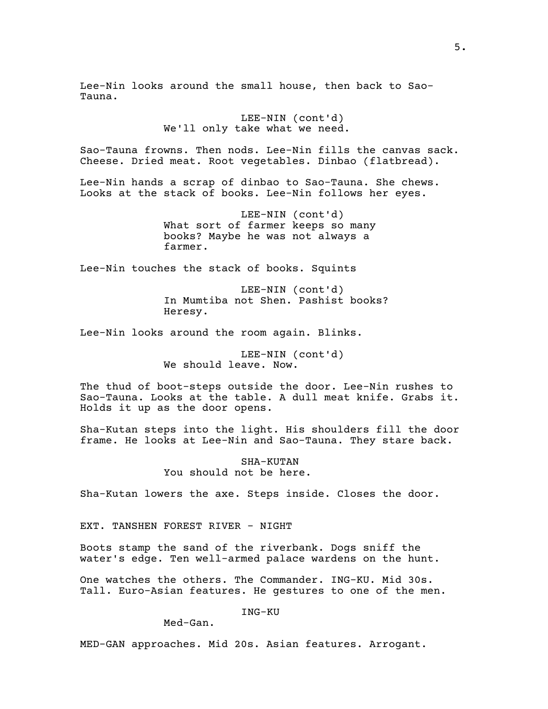Lee-Nin looks around the small house, then back to Sao-Tauna.

> LEE-NIN (cont'd) We'll only take what we need.

Sao-Tauna frowns. Then nods. Lee-Nin fills the canvas sack. Cheese. Dried meat. Root vegetables. Dinbao (flatbread).

Lee-Nin hands a scrap of dinbao to Sao-Tauna. She chews. Looks at the stack of books. Lee-Nin follows her eyes.

> LEE-NIN (cont'd) What sort of farmer keeps so many books? Maybe he was not always a farmer.

Lee-Nin touches the stack of books. Squints

LEE-NIN (cont'd) In Mumtiba not Shen. Pashist books? Heresy.

Lee-Nin looks around the room again. Blinks.

LEE-NIN (cont'd) We should leave. Now.

The thud of boot-steps outside the door. Lee-Nin rushes to Sao-Tauna. Looks at the table. A dull meat knife. Grabs it. Holds it up as the door opens.

Sha-Kutan steps into the light. His shoulders fill the door frame. He looks at Lee-Nin and Sao-Tauna. They stare back.

> SHA-KUTAN You should not be here.

Sha-Kutan lowers the axe. Steps inside. Closes the door.

EXT. TANSHEN FOREST RIVER - NIGHT

Boots stamp the sand of the riverbank. Dogs sniff the water's edge. Ten well-armed palace wardens on the hunt.

One watches the others. The Commander. ING-KU. Mid 30s. Tall. Euro-Asian features. He gestures to one of the men.

ING-KU

Med-Gan.

MED-GAN approaches. Mid 20s. Asian features. Arrogant.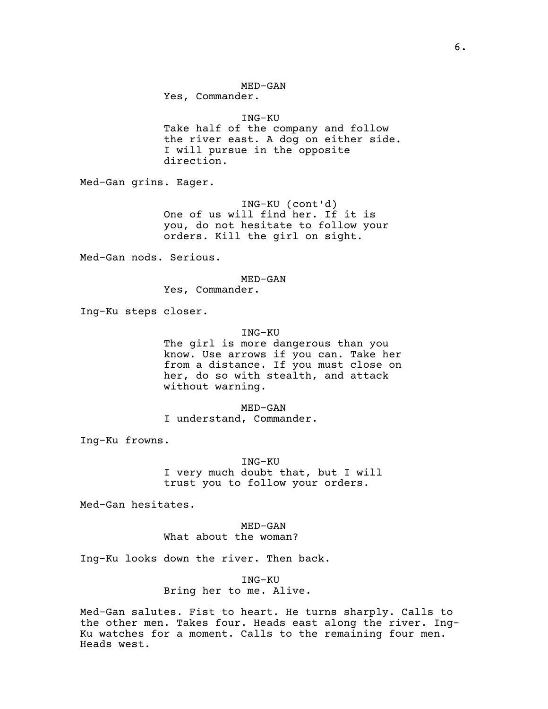MED-GAN

Yes, Commander.

### ING-KU

Take half of the company and follow the river east. A dog on either side. I will pursue in the opposite direction.

Med-Gan grins. Eager.

ING-KU (cont'd) One of us will find her. If it is you, do not hesitate to follow your orders. Kill the girl on sight.

Med-Gan nods. Serious.

## MED-GAN

Yes, Commander.

Ing-Ku steps closer.

# ING-KU

The girl is more dangerous than you know. Use arrows if you can. Take her from a distance. If you must close on her, do so with stealth, and attack without warning.

MED-GAN I understand, Commander.

Ing-Ku frowns.

ING-KU I very much doubt that, but I will trust you to follow your orders.

Med-Gan hesitates.

MED-GAN What about the woman?

Ing-Ku looks down the river. Then back.

ING-KU Bring her to me. Alive.

Med-Gan salutes. Fist to heart. He turns sharply. Calls to the other men. Takes four. Heads east along the river. Ing-Ku watches for a moment. Calls to the remaining four men. Heads west.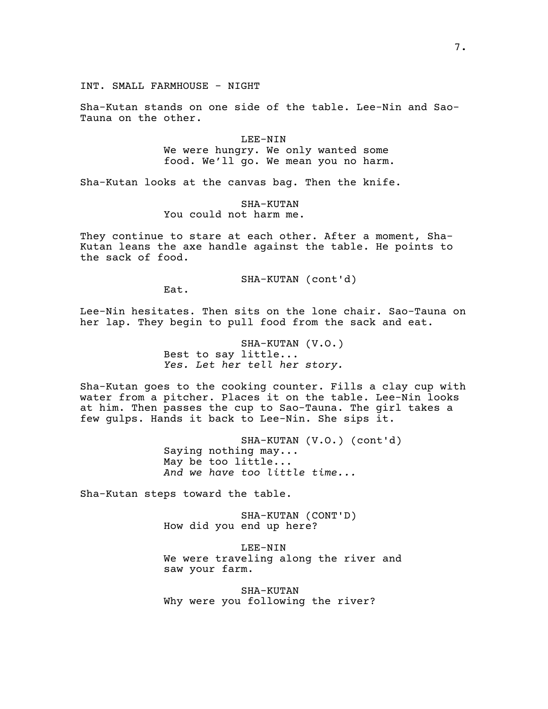Sha-Kutan stands on one side of the table. Lee-Nin and Sao-Tauna on the other.

> LEE-NIN We were hungry. We only wanted some food. We'll go. We mean you no harm.

Sha-Kutan looks at the canvas bag. Then the knife.

SHA-KUTAN You could not harm me.

They continue to stare at each other. After a moment, Sha-Kutan leans the axe handle against the table. He points to the sack of food.

SHA-KUTAN (cont'd)

Eat.

Lee-Nin hesitates. Then sits on the lone chair. Sao-Tauna on her lap. They begin to pull food from the sack and eat.

> SHA-KUTAN (V.O.) Best to say little... *Yes. Let her tell her story.*

Sha-Kutan goes to the cooking counter. Fills a clay cup with water from a pitcher. Places it on the table. Lee-Nin looks at him. Then passes the cup to Sao-Tauna. The girl takes a few gulps. Hands it back to Lee-Nin. She sips it.

> SHA-KUTAN (V.O.) (cont'd) Saying nothing may... May be too little... *And we have too little time...*

Sha-Kutan steps toward the table.

SHA-KUTAN (CONT'D) How did you end up here?

LEE-NIN We were traveling along the river and saw your farm.

SHA-KUTAN Why were you following the river?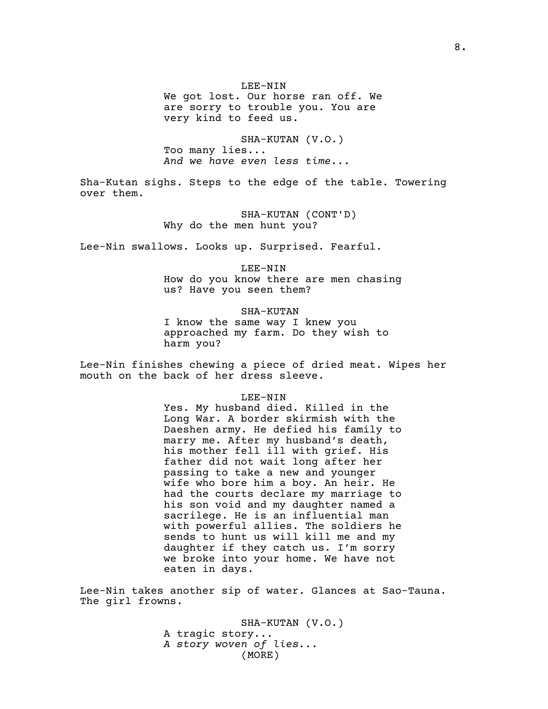LEE-NIN

We got lost. Our horse ran off. We are sorry to trouble you. You are very kind to feed us.

SHA-KUTAN (V.O.) Too many lies... *And we have even less time...*

Sha-Kutan sighs. Steps to the edge of the table. Towering over them.

> SHA-KUTAN (CONT'D) Why do the men hunt you?

Lee-Nin swallows. Looks up. Surprised. Fearful.

LEE-NIN How do you know there are men chasing us? Have you seen them?

SHA-KUTAN

I know the same way I knew you approached my farm. Do they wish to harm you?

Lee-Nin finishes chewing a piece of dried meat. Wipes her mouth on the back of her dress sleeve.

LEE-NIN

Yes. My husband died. Killed in the Long War. A border skirmish with the Daeshen army. He defied his family to marry me. After my husband's death, his mother fell ill with grief. His father did not wait long after her passing to take a new and younger wife who bore him a boy. An heir. He had the courts declare my marriage to his son void and my daughter named a sacrilege. He is an influential man with powerful allies. The soldiers he sends to hunt us will kill me and my daughter if they catch us. I'm sorry we broke into your home. We have not eaten in days.

Lee-Nin takes another sip of water. Glances at Sao-Tauna. The girl frowns.

> SHA-KUTAN (V.O.) A tragic story... *A story woven of lies...* (MORE)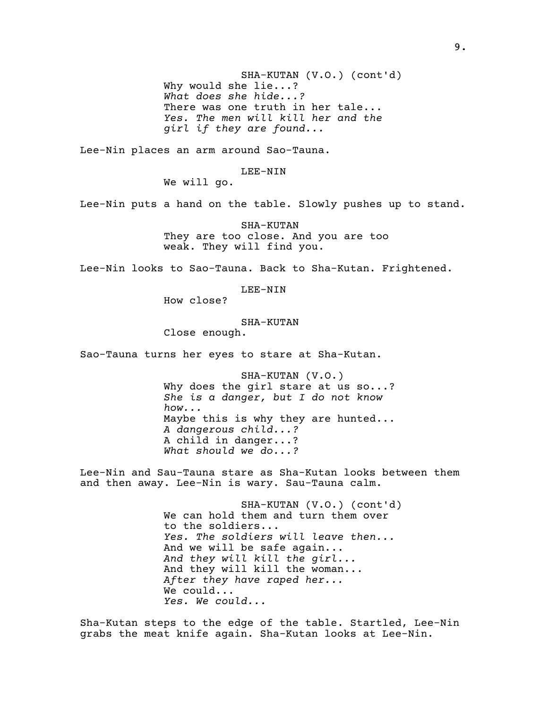Why would she lie...? SHA-KUTAN (V.O.) (cont'd) *What does she hide...?* There was one truth in her tale... *Yes. The men will kill her and the girl if they are found...*

Lee-Nin places an arm around Sao-Tauna.

LEE-NIN

We will go.

Lee-Nin puts a hand on the table. Slowly pushes up to stand.

SHA-KUTAN They are too close. And you are too weak. They will find you.

Lee-Nin looks to Sao-Tauna. Back to Sha-Kutan. Frightened.

LEE-NIN

How close?

SHA-KUTAN

Close enough.

Sao-Tauna turns her eyes to stare at Sha-Kutan.

SHA-KUTAN (V.O.) Why does the qirl stare at us so...? *She is a danger, but I do not know how...* Maybe this is why they are hunted... *A dangerous child...?* A child in danger...? *What should we do...?*

Lee-Nin and Sau-Tauna stare as Sha-Kutan looks between them and then away. Lee-Nin is wary. Sau-Tauna calm.

> SHA-KUTAN (V.O.) (cont'd) We can hold them and turn them over to the soldiers... *Yes. The soldiers will leave then...* And we will be safe again... *And they will kill the girl...* And they will kill the woman... *After they have raped her...* We could... *Yes. We could...*

Sha-Kutan steps to the edge of the table. Startled, Lee-Nin grabs the meat knife again. Sha-Kutan looks at Lee-Nin.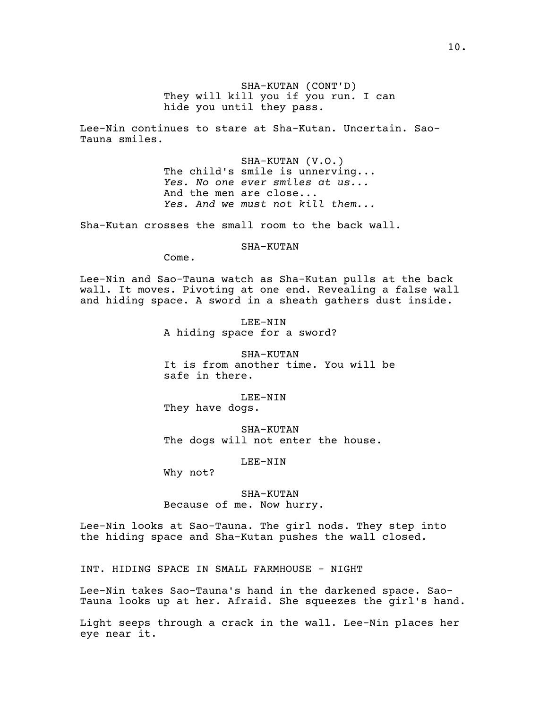SHA-KUTAN (CONT'D) They will kill you if you run. I can hide you until they pass.

Lee-Nin continues to stare at Sha-Kutan. Uncertain. Sao-Tauna smiles.

> SHA-KUTAN (V.O.) The child's smile is unnerving... *Yes. No one ever smiles at us...* And the men are close... *Yes. And we must not kill them...*

Sha-Kutan crosses the small room to the back wall.

SHA-KUTAN

Come.

Lee-Nin and Sao-Tauna watch as Sha-Kutan pulls at the back wall. It moves. Pivoting at one end. Revealing a false wall and hiding space. A sword in a sheath gathers dust inside.

> LEE-NIN A hiding space for a sword?

SHA-KUTAN It is from another time. You will be safe in there.

LEE-NIN They have dogs.

SHA-KUTAN The dogs will not enter the house.

LEE-NIN

Why not?

SHA-KUTAN Because of me. Now hurry.

Lee-Nin looks at Sao-Tauna. The girl nods. They step into the hiding space and Sha-Kutan pushes the wall closed.

INT. HIDING SPACE IN SMALL FARMHOUSE - NIGHT

Lee-Nin takes Sao-Tauna's hand in the darkened space. Sao-Tauna looks up at her. Afraid. She squeezes the girl's hand.

Light seeps through a crack in the wall. Lee-Nin places her eye near it.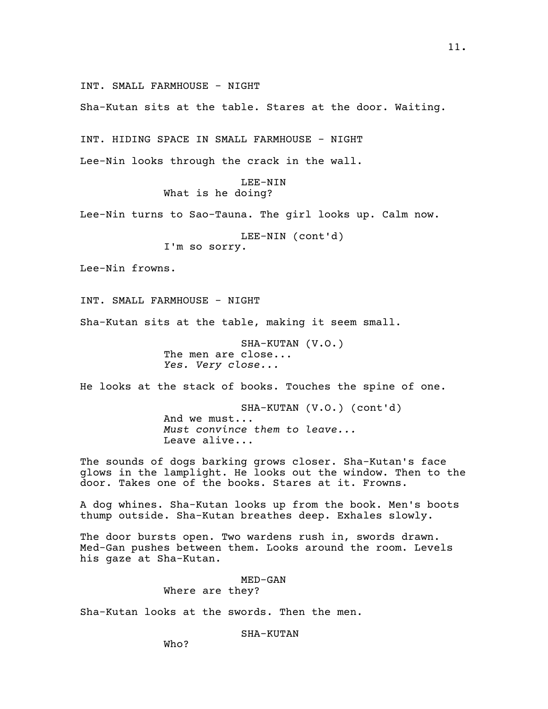INT. SMALL FARMHOUSE - NIGHT

Sha-Kutan sits at the table. Stares at the door. Waiting.

INT. HIDING SPACE IN SMALL FARMHOUSE - NIGHT

Lee-Nin looks through the crack in the wall.

## LEE-NIN What is he doing?

Lee-Nin turns to Sao-Tauna. The girl looks up. Calm now.

LEE-NIN (cont'd)

I'm so sorry.

Lee-Nin frowns.

INT. SMALL FARMHOUSE - NIGHT

Sha-Kutan sits at the table, making it seem small.

SHA-KUTAN (V.O.) The men are close... *Yes. Very close...*

He looks at the stack of books. Touches the spine of one.

SHA-KUTAN (V.O.) (cont'd) And we must... *Must convince them to leave...* Leave alive...

The sounds of dogs barking grows closer. Sha-Kutan's face glows in the lamplight. He looks out the window. Then to the door. Takes one of the books. Stares at it. Frowns.

A dog whines. Sha-Kutan looks up from the book. Men's boots thump outside. Sha-Kutan breathes deep. Exhales slowly.

The door bursts open. Two wardens rush in, swords drawn. Med-Gan pushes between them. Looks around the room. Levels his gaze at Sha-Kutan.

> MED-GAN Where are they?

Sha-Kutan looks at the swords. Then the men.

SHA-KUTAN

Who?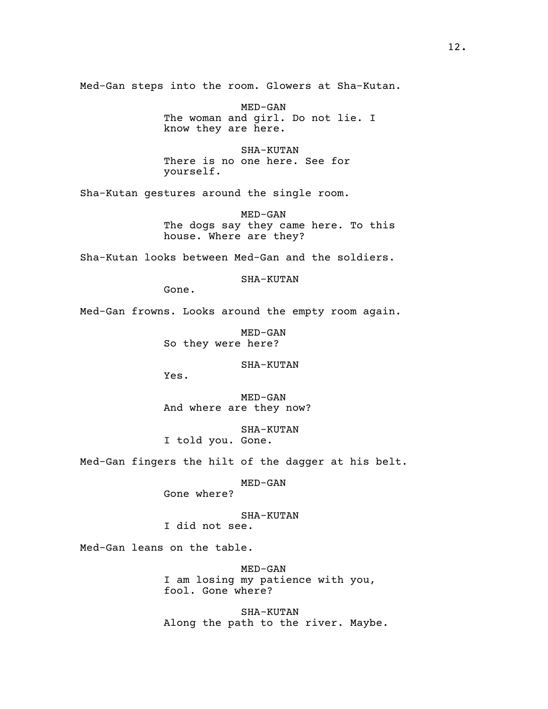Med-Gan steps into the room. Glowers at Sha-Kutan.

MED-GAN The woman and girl. Do not lie. I know they are here.

SHA-KUTAN There is no one here. See for yourself.

Sha-Kutan gestures around the single room.

MED-GAN The dogs say they came here. To this house. Where are they?

Sha-Kutan looks between Med-Gan and the soldiers.

SHA-KUTAN

Gone.

Med-Gan frowns. Looks around the empty room again.

MED-GAN So they were here?

SHA-KUTAN

Yes.

MED-GAN And where are they now?

SHA-KUTAN I told you. Gone.

Med-Gan fingers the hilt of the dagger at his belt.

MED-GAN

Gone where?

SHA-KUTAN I did not see.

Med-Gan leans on the table.

MED-GAN I am losing my patience with you, fool. Gone where?

SHA-KUTAN Along the path to the river. Maybe.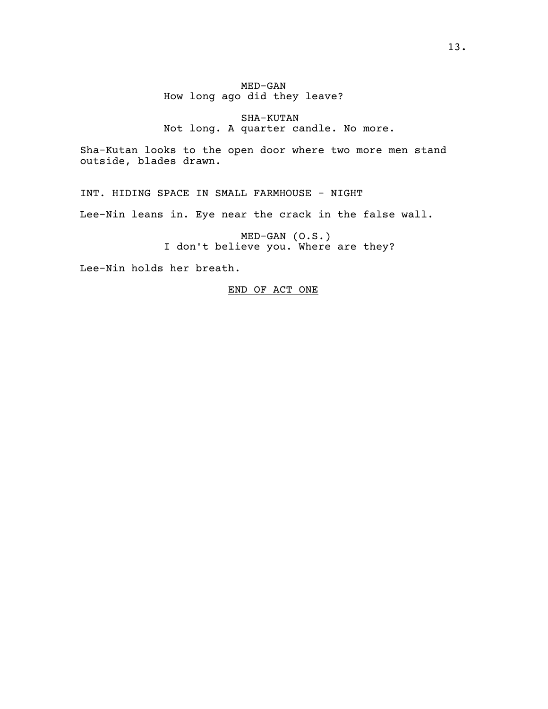# MED-GAN How long ago did they leave?

# SHA-KUTAN Not long. A quarter candle. No more.

Sha-Kutan looks to the open door where two more men stand outside, blades drawn.

INT. HIDING SPACE IN SMALL FARMHOUSE - NIGHT

Lee-Nin leans in. Eye near the crack in the false wall.

MED-GAN (O.S.) I don't believe you. Where are they?

Lee-Nin holds her breath.

# END OF ACT ONE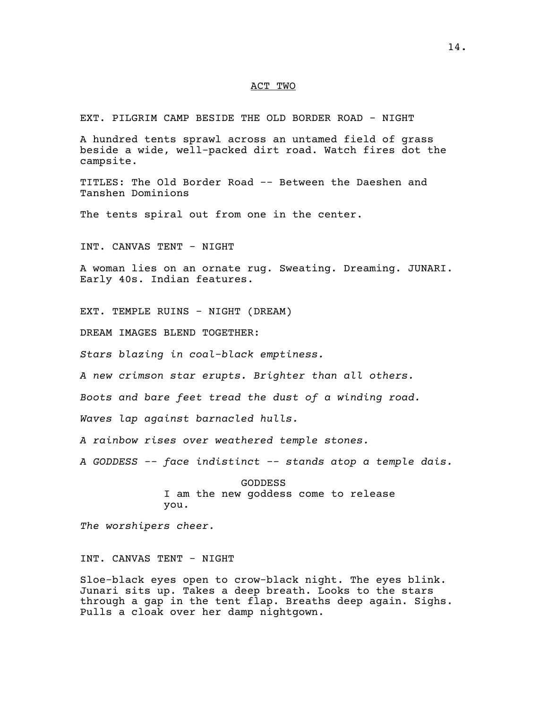## ACT TWO

EXT. PILGRIM CAMP BESIDE THE OLD BORDER ROAD - NIGHT

A hundred tents sprawl across an untamed field of grass beside a wide, well-packed dirt road. Watch fires dot the campsite.

TITLES: The Old Border Road -- Between the Daeshen and Tanshen Dominions

The tents spiral out from one in the center.

INT. CANVAS TENT - NIGHT

A woman lies on an ornate rug. Sweating. Dreaming. JUNARI. Early 40s. Indian features.

EXT. TEMPLE RUINS - NIGHT (DREAM)

DREAM IMAGES BLEND TOGETHER:

*Stars blazing in coal-black emptiness.*

*A new crimson star erupts. Brighter than all others.*

*Boots and bare feet tread the dust of a winding road.*

*Waves lap against barnacled hulls.*

*A rainbow rises over weathered temple stones.*

*A GODDESS -- face indistinct -- stands atop a temple dais.*

GODDESS I am the new goddess come to release you.

*The worshipers cheer.*

INT. CANVAS TENT - NIGHT

Sloe-black eyes open to crow-black night. The eyes blink. Junari sits up. Takes a deep breath. Looks to the stars through a gap in the tent flap. Breaths deep again. Sighs. Pulls a cloak over her damp nightgown.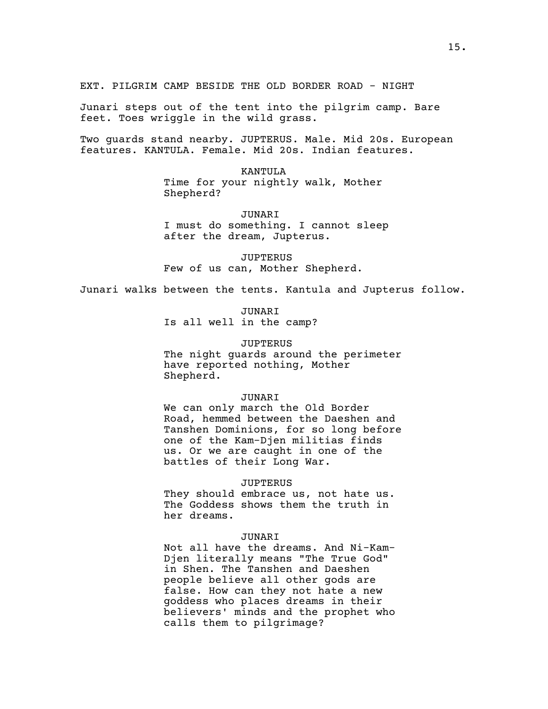Junari steps out of the tent into the pilgrim camp. Bare feet. Toes wriggle in the wild grass.

Two guards stand nearby. JUPTERUS. Male. Mid 20s. European features. KANTULA. Female. Mid 20s. Indian features.

> KANTULA Time for your nightly walk, Mother Shepherd?

JUNARI I must do something. I cannot sleep after the dream, Jupterus.

**JUPTERUS** Few of us can, Mother Shepherd.

Junari walks between the tents. Kantula and Jupterus follow.

JUNARI Is all well in the camp?

JUPTERUS

The night guards around the perimeter have reported nothing, Mother Shepherd.

#### JUNARI

We can only march the Old Border Road, hemmed between the Daeshen and Tanshen Dominions, for so long before one of the Kam-Djen militias finds us. Or we are caught in one of the battles of their Long War.

## JUPTERUS

They should embrace us, not hate us. The Goddess shows them the truth in her dreams.

### JUNARI

Not all have the dreams. And Ni-Kam-Djen literally means "The True God" in Shen. The Tanshen and Daeshen people believe all other gods are false. How can they not hate a new goddess who places dreams in their believers' minds and the prophet who calls them to pilgrimage?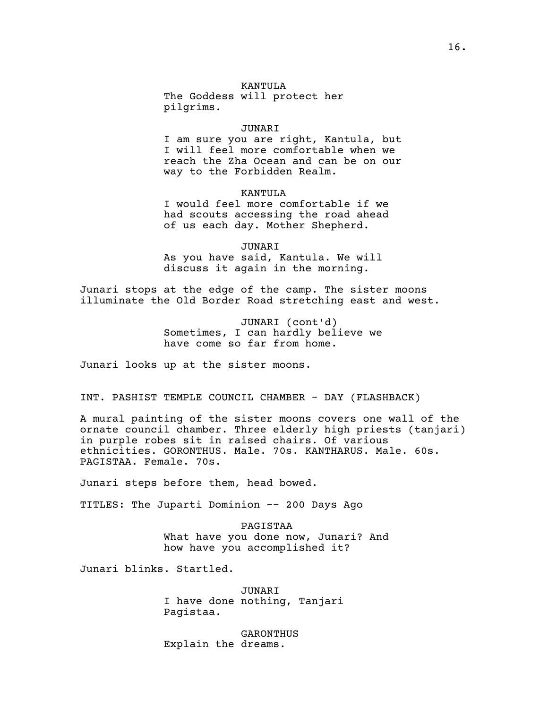# KANTULA

The Goddess will protect her pilgrims.

#### JUNARI

I am sure you are right, Kantula, but I will feel more comfortable when we reach the Zha Ocean and can be on our way to the Forbidden Realm.

KANTULA

I would feel more comfortable if we had scouts accessing the road ahead of us each day. Mother Shepherd.

JUNARI As you have said, Kantula. We will discuss it again in the morning.

Junari stops at the edge of the camp. The sister moons illuminate the Old Border Road stretching east and west.

> JUNARI (cont'd) Sometimes, I can hardly believe we have come so far from home.

Junari looks up at the sister moons.

INT. PASHIST TEMPLE COUNCIL CHAMBER - DAY (FLASHBACK)

A mural painting of the sister moons covers one wall of the ornate council chamber. Three elderly high priests (tanjari) in purple robes sit in raised chairs. Of various ethnicities. GORONTHUS. Male. 70s. KANTHARUS. Male. 60s. PAGISTAA. Female. 70s.

Junari steps before them, head bowed.

TITLES: The Juparti Dominion -- 200 Days Ago

PAGISTAA What have you done now, Junari? And how have you accomplished it?

Junari blinks. Startled.

JUNARI I have done nothing, Tanjari Pagistaa.

GARONTHUS Explain the dreams.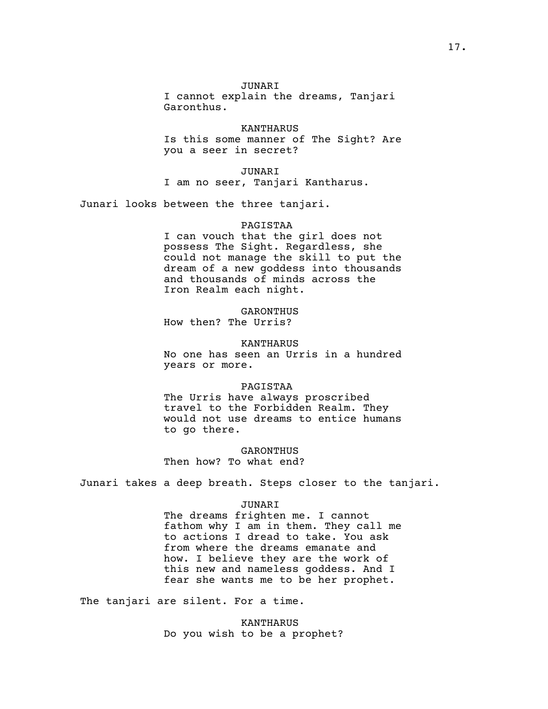## JUNARI

I cannot explain the dreams, Tanjari Garonthus.

KANTHARUS Is this some manner of The Sight? Are you a seer in secret?

### JUNARI

I am no seer, Tanjari Kantharus.

Junari looks between the three tanjari.

### PAGISTAA

I can vouch that the girl does not possess The Sight. Regardless, she could not manage the skill to put the dream of a new goddess into thousands and thousands of minds across the Iron Realm each night.

## GARONTHUS

How then? The Urris?

#### KANTHARUS

No one has seen an Urris in a hundred years or more.

## PAGISTAA

The Urris have always proscribed travel to the Forbidden Realm. They would not use dreams to entice humans to go there.

# GARONTHUS

Then how? To what end?

Junari takes a deep breath. Steps closer to the tanjari.

## JUNARI

The dreams frighten me. I cannot fathom why I am in them. They call me to actions I dread to take. You ask from where the dreams emanate and how. I believe they are the work of this new and nameless goddess. And I fear she wants me to be her prophet.

The tanjari are silent. For a time.

KANTHARUS Do you wish to be a prophet?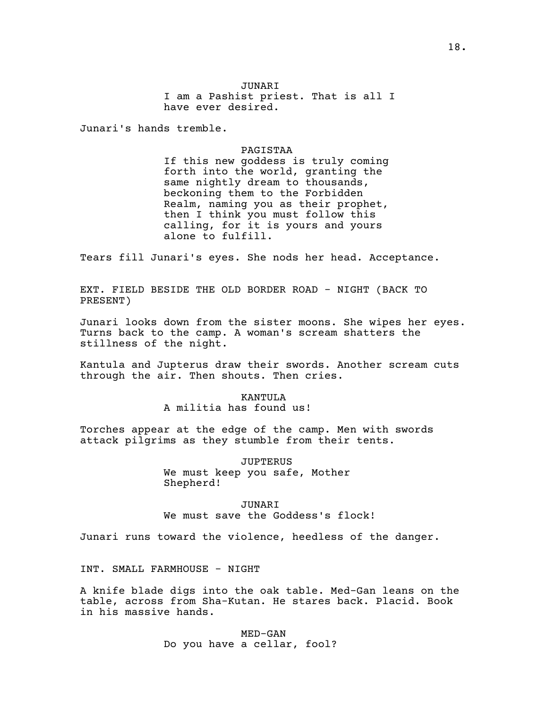# JUNARI

I am a Pashist priest. That is all I have ever desired.

Junari's hands tremble.

### PAGISTAA

If this new goddess is truly coming forth into the world, granting the same nightly dream to thousands, beckoning them to the Forbidden Realm, naming you as their prophet, then I think you must follow this calling, for it is yours and yours alone to fulfill.

Tears fill Junari's eyes. She nods her head. Acceptance.

EXT. FIELD BESIDE THE OLD BORDER ROAD - NIGHT (BACK TO PRESENT)

Junari looks down from the sister moons. She wipes her eyes. Turns back to the camp. A woman's scream shatters the stillness of the night.

Kantula and Jupterus draw their swords. Another scream cuts through the air. Then shouts. Then cries.

> KANTIILA A militia has found us!

Torches appear at the edge of the camp. Men with swords attack pilgrims as they stumble from their tents.

> JUPTERUS We must keep you safe, Mother Shepherd!

JUNARI We must save the Goddess's flock!

Junari runs toward the violence, heedless of the danger.

INT. SMALL FARMHOUSE - NIGHT

A knife blade digs into the oak table. Med-Gan leans on the table, across from Sha-Kutan. He stares back. Placid. Book in his massive hands.

> MED-GAN Do you have a cellar, fool?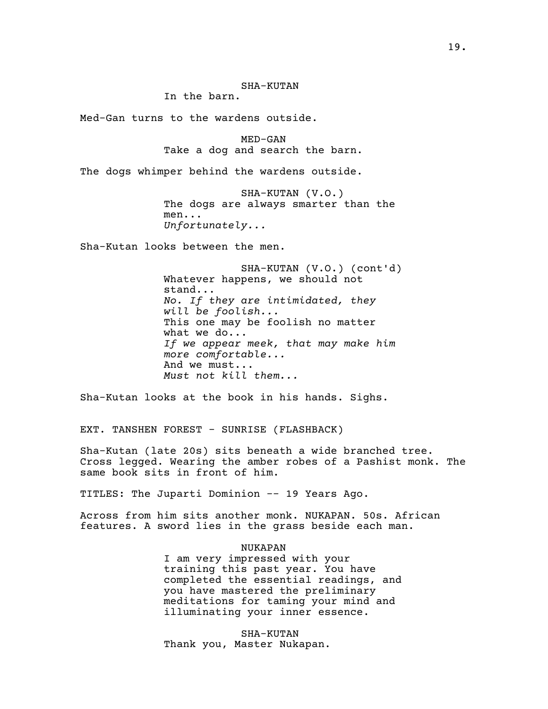# SHA-KUTAN

In the barn.

Med-Gan turns to the wardens outside.

MED-GAN Take a dog and search the barn.

The dogs whimper behind the wardens outside.

SHA-KUTAN (V.O.) The dogs are always smarter than the men... *Unfortunately...*

Sha-Kutan looks between the men.

SHA-KUTAN (V.O.) (cont'd) Whatever happens, we should not stand... *No. If they are intimidated, they will be foolish...* This one may be foolish no matter what we do... *If we appear meek, that may make him more comfortable...* And we must... *Must not kill them...*

Sha-Kutan looks at the book in his hands. Sighs.

EXT. TANSHEN FOREST - SUNRISE (FLASHBACK)

Sha-Kutan (late 20s) sits beneath a wide branched tree. Cross legged. Wearing the amber robes of a Pashist monk. The same book sits in front of him.

TITLES: The Juparti Dominion -- 19 Years Ago.

Across from him sits another monk. NUKAPAN. 50s. African features. A sword lies in the grass beside each man.

### NUKAPAN

I am very impressed with your training this past year. You have completed the essential readings, and you have mastered the preliminary meditations for taming your mind and illuminating your inner essence.

SHA-KUTAN Thank you, Master Nukapan.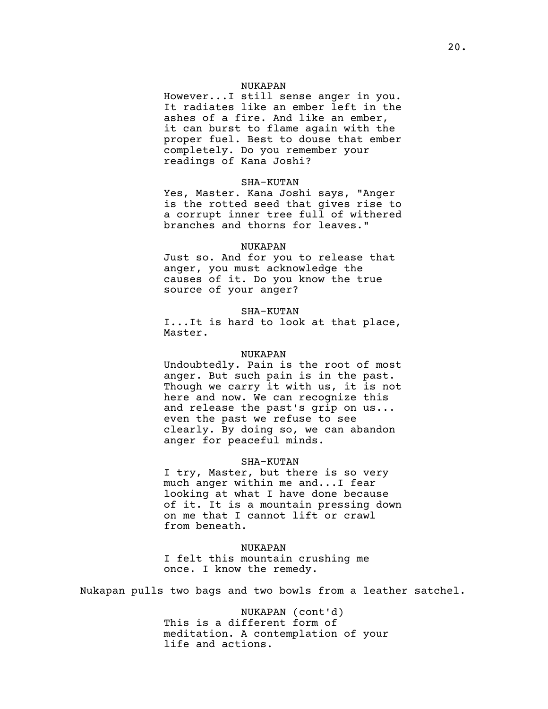# NUKAPAN

However...I still sense anger in you. It radiates like an ember left in the ashes of a fire. And like an ember, it can burst to flame again with the proper fuel. Best to douse that ember completely. Do you remember your readings of Kana Joshi?

### SHA-KUTAN

Yes, Master. Kana Joshi says, "Anger is the rotted seed that gives rise to a corrupt inner tree full of withered branches and thorns for leaves."

#### NUKAPAN

Just so. And for you to release that anger, you must acknowledge the causes of it. Do you know the true source of your anger?

#### SHA-KUTAN

I...It is hard to look at that place, Master.

## NUKAPAN

Undoubtedly. Pain is the root of most anger. But such pain is in the past. Though we carry it with us, it is not here and now. We can recognize this and release the past's grip on us... even the past we refuse to see clearly. By doing so, we can abandon anger for peaceful minds.

### SHA-KUTAN

I try, Master, but there is so very much anger within me and...I fear looking at what I have done because of it. It is a mountain pressing down on me that I cannot lift or crawl from beneath.

### NUKAPAN

I felt this mountain crushing me once. I know the remedy.

Nukapan pulls two bags and two bowls from a leather satchel.

NUKAPAN (cont'd) This is a different form of meditation. A contemplation of your life and actions.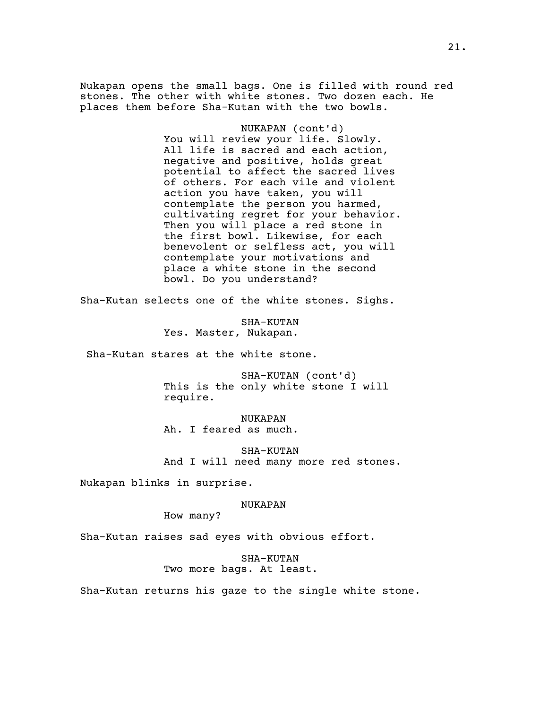Nukapan opens the small bags. One is filled with round red stones. The other with white stones. Two dozen each. He places them before Sha-Kutan with the two bowls.

> NUKAPAN (cont'd) You will review your life. Slowly. All life is sacred and each action, negative and positive, holds great potential to affect the sacred lives of others. For each vile and violent action you have taken, you will contemplate the person you harmed, cultivating regret for your behavior. Then you will place a red stone in the first bowl. Likewise, for each benevolent or selfless act, you will contemplate your motivations and place a white stone in the second bowl. Do you understand?

Sha-Kutan selects one of the white stones. Sighs.

SHA-KUTAN Yes. Master, Nukapan.

Sha-Kutan stares at the white stone.

SHA-KUTAN (cont'd) This is the only white stone I will require.

NUKAPAN Ah. I feared as much.

SHA-KUTAN And I will need many more red stones.

Nukapan blinks in surprise.

## NUKAPAN

How many?

Sha-Kutan raises sad eyes with obvious effort.

# SHA-KUTAN Two more bags. At least.

Sha-Kutan returns his gaze to the single white stone.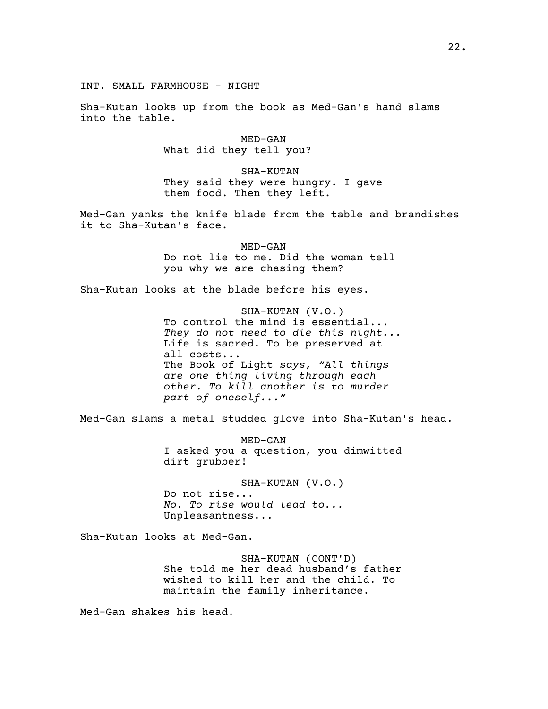Sha-Kutan looks up from the book as Med-Gan's hand slams into the table.

> MED-GAN What did they tell you?

SHA-KUTAN They said they were hungry. I gave them food. Then they left.

Med-Gan yanks the knife blade from the table and brandishes it to Sha-Kutan's face.

> MED-GAN Do not lie to me. Did the woman tell you why we are chasing them?

Sha-Kutan looks at the blade before his eyes.

SHA-KUTAN (V.O.) To control the mind is essential... *They do not need to die this night...* Life is sacred. To be preserved at all costs... The Book of Light *says, "All things are one thing living through each other. To kill another is to murder part of oneself..."*

Med-Gan slams a metal studded glove into Sha-Kutan's head.

MED-GAN I asked you a question, you dimwitted dirt grubber!

SHA-KUTAN (V.O.) Do not rise... *No. To rise would lead to...* Unpleasantness...

Sha-Kutan looks at Med-Gan.

SHA-KUTAN (CONT'D) She told me her dead husband's father wished to kill her and the child. To maintain the family inheritance.

Med-Gan shakes his head.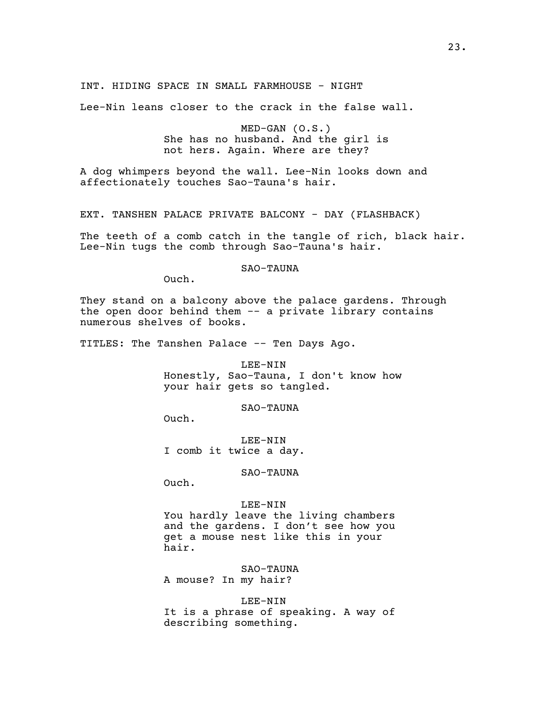INT. HIDING SPACE IN SMALL FARMHOUSE - NIGHT

Lee-Nin leans closer to the crack in the false wall.

MED-GAN (O.S.) She has no husband. And the girl is not hers. Again. Where are they?

A dog whimpers beyond the wall. Lee-Nin looks down and affectionately touches Sao-Tauna's hair.

EXT. TANSHEN PALACE PRIVATE BALCONY - DAY (FLASHBACK)

The teeth of a comb catch in the tangle of rich, black hair. Lee-Nin tugs the comb through Sao-Tauna's hair.

# SAO-TAUNA

Ouch.

They stand on a balcony above the palace gardens. Through the open door behind them -- a private library contains numerous shelves of books.

TITLES: The Tanshen Palace -- Ten Days Ago.

LEE-NIN Honestly, Sao-Tauna, I don't know how your hair gets so tangled.

SAO-TAUNA

Ouch.

LEE-NIN I comb it twice a day.

SAO-TAUNA

Ouch.

### LEE-NIN

You hardly leave the living chambers and the gardens. I don't see how you get a mouse nest like this in your hair.

SAO-TAUNA

A mouse? In my hair?

LEE-NIN

It is a phrase of speaking. A way of describing something.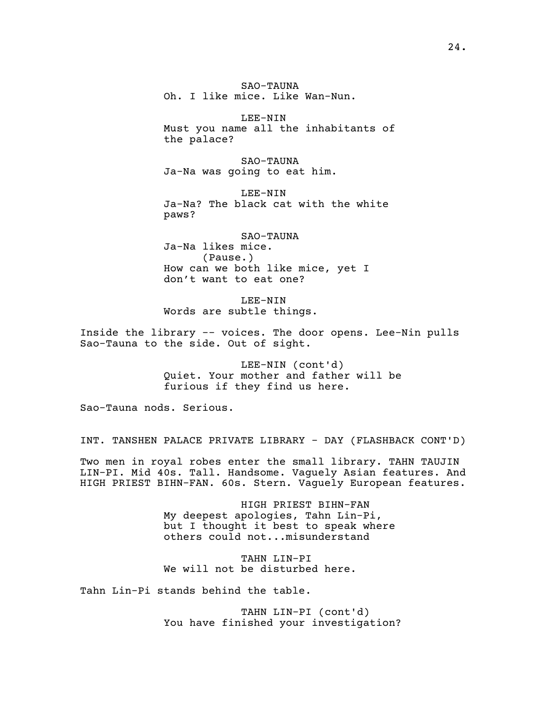SAO-TAUNA Oh. I like mice. Like Wan-Nun.

LEE-NIN Must you name all the inhabitants of the palace?

SAO-TAUNA Ja-Na was going to eat him.

LEE-NIN Ja-Na? The black cat with the white paws?

SAO-TAUNA Ja-Na likes mice. (Pause.) How can we both like mice, yet I don't want to eat one?

LEE-NIN Words are subtle things.

Inside the library -- voices. The door opens. Lee-Nin pulls Sao-Tauna to the side. Out of sight.

> LEE-NIN (cont'd) Quiet. Your mother and father will be furious if they find us here.

Sao-Tauna nods. Serious.

INT. TANSHEN PALACE PRIVATE LIBRARY - DAY (FLASHBACK CONT'D)

Two men in royal robes enter the small library. TAHN TAUJIN LIN-PI. Mid 40s. Tall. Handsome. Vaguely Asian features. And HIGH PRIEST BIHN-FAN. 60s. Stern. Vaguely European features.

> HIGH PRIEST BIHN-FAN My deepest apologies, Tahn Lin-Pi, but I thought it best to speak where others could not...misunderstand

TAHN LIN-PI We will not be disturbed here.

Tahn Lin-Pi stands behind the table.

TAHN LIN-PI (cont'd) You have finished your investigation?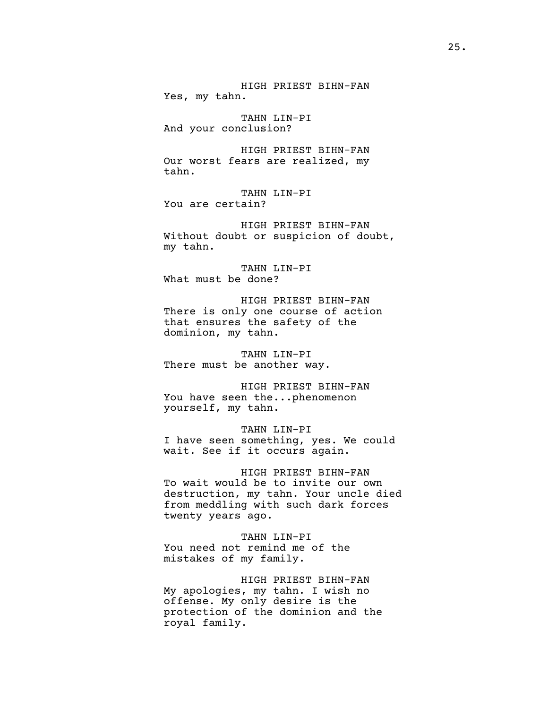HIGH PRIEST BIHN-FAN Yes, my tahn. TAHN LIN-PI And your conclusion? HIGH PRIEST BIHN-FAN Our worst fears are realized, my tahn. TAHN LIN-PI You are certain? HIGH PRIEST BIHN-FAN Without doubt or suspicion of doubt, my tahn. TAHN LIN-PI What must be done?

HIGH PRIEST BIHN-FAN There is only one course of action that ensures the safety of the dominion, my tahn.

TAHN LIN-PI There must be another way.

HIGH PRIEST BIHN-FAN You have seen the...phenomenon yourself, my tahn.

TAHN LIN-PI I have seen something, yes. We could wait. See if it occurs again.

HIGH PRIEST BIHN-FAN To wait would be to invite our own destruction, my tahn. Your uncle died from meddling with such dark forces twenty years ago.

TAHN LIN-PI You need not remind me of the mistakes of my family.

HIGH PRIEST BIHN-FAN My apologies, my tahn. I wish no offense. My only desire is the protection of the dominion and the royal family.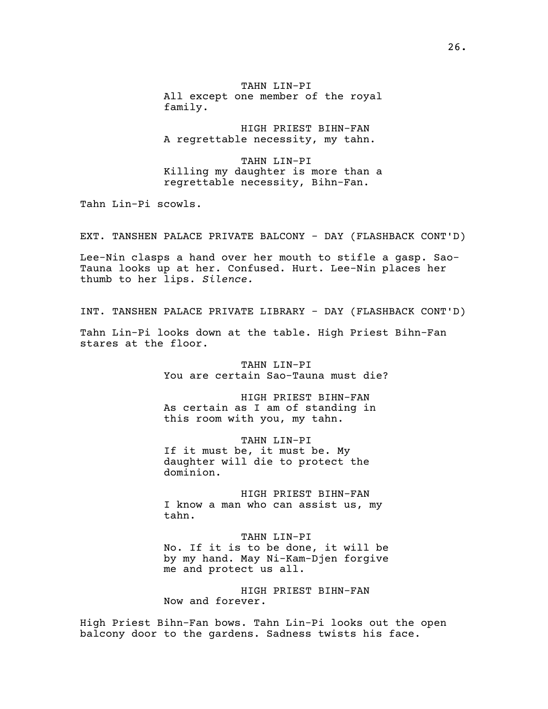TAHN LIN-PI All except one member of the royal family.

HIGH PRIEST BIHN-FAN A regrettable necessity, my tahn.

TAHN LIN-PI Killing my daughter is more than a regrettable necessity, Bihn-Fan.

Tahn Lin-Pi scowls.

EXT. TANSHEN PALACE PRIVATE BALCONY - DAY (FLASHBACK CONT'D)

Lee-Nin clasps a hand over her mouth to stifle a gasp. Sao-Tauna looks up at her. Confused. Hurt. Lee-Nin places her thumb to her lips. *Silence.*

INT. TANSHEN PALACE PRIVATE LIBRARY - DAY (FLASHBACK CONT'D)

Tahn Lin-Pi looks down at the table. High Priest Bihn-Fan stares at the floor.

> TAHN LIN-PI You are certain Sao-Tauna must die?

HIGH PRIEST BIHN-FAN As certain as I am of standing in this room with you, my tahn.

TAHN LIN-PI If it must be, it must be. My daughter will die to protect the dominion.

HIGH PRIEST BIHN-FAN I know a man who can assist us, my tahn.

TAHN LIN-PI No. If it is to be done, it will be by my hand. May Ni-Kam-Djen forgive me and protect us all.

HIGH PRIEST BIHN-FAN Now and forever.

High Priest Bihn-Fan bows. Tahn Lin-Pi looks out the open balcony door to the gardens. Sadness twists his face.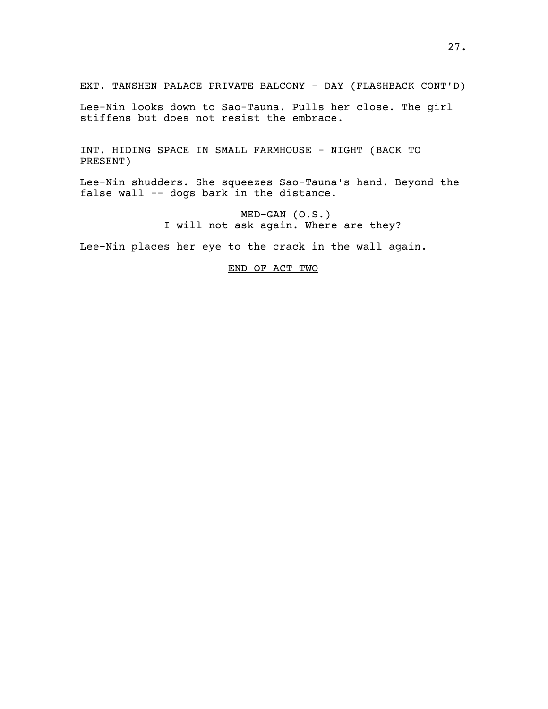EXT. TANSHEN PALACE PRIVATE BALCONY - DAY (FLASHBACK CONT'D)

Lee-Nin looks down to Sao-Tauna. Pulls her close. The girl stiffens but does not resist the embrace.

INT. HIDING SPACE IN SMALL FARMHOUSE - NIGHT (BACK TO PRESENT)

Lee-Nin shudders. She squeezes Sao-Tauna's hand. Beyond the false wall -- dogs bark in the distance.

> MED-GAN (O.S.) I will not ask again. Where are they?

Lee-Nin places her eye to the crack in the wall again.

# END OF ACT TWO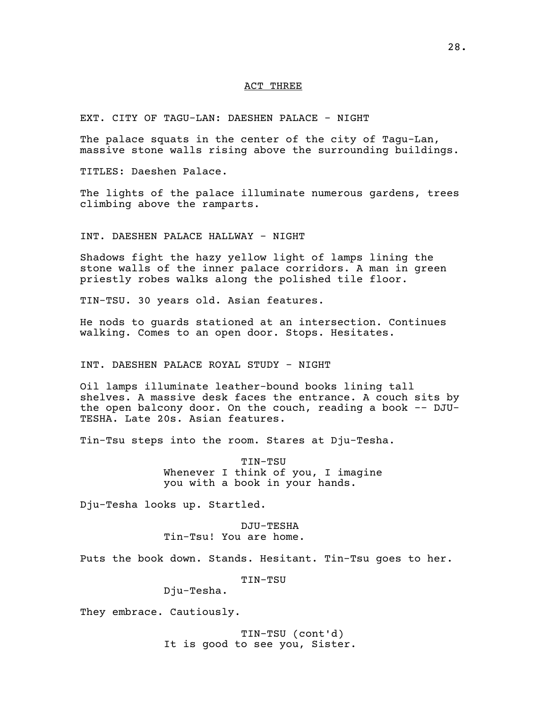## ACT THREE

EXT. CITY OF TAGU-LAN: DAESHEN PALACE - NIGHT

The palace squats in the center of the city of Tagu-Lan, massive stone walls rising above the surrounding buildings.

TITLES: Daeshen Palace.

The lights of the palace illuminate numerous gardens, trees climbing above the ramparts.

INT. DAESHEN PALACE HALLWAY - NIGHT

Shadows fight the hazy yellow light of lamps lining the stone walls of the inner palace corridors. A man in green priestly robes walks along the polished tile floor.

TIN-TSU. 30 years old. Asian features.

He nods to guards stationed at an intersection. Continues walking. Comes to an open door. Stops. Hesitates.

# INT. DAESHEN PALACE ROYAL STUDY - NIGHT

Oil lamps illuminate leather-bound books lining tall shelves. A massive desk faces the entrance. A couch sits by the open balcony door. On the couch, reading a book -- DJU-TESHA. Late 20s. Asian features.

Tin-Tsu steps into the room. Stares at Dju-Tesha.

TIN-TSU Whenever I think of you, I imagine you with a book in your hands.

Dju-Tesha looks up. Startled.

DJU-TESHA Tin-Tsu! You are home.

Puts the book down. Stands. Hesitant. Tin-Tsu goes to her.

TIN-TSU

Dju-Tesha.

They embrace. Cautiously.

TIN-TSU (cont'd) It is good to see you, Sister.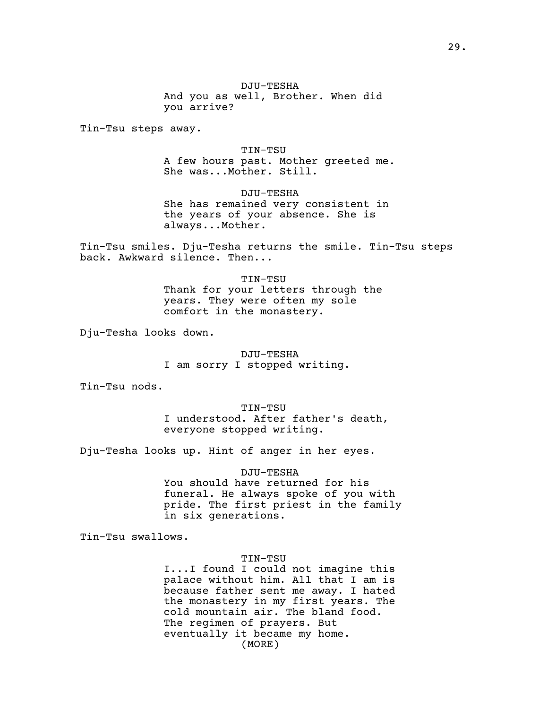Tin-Tsu steps away.

TIN-TSU A few hours past. Mother greeted me. She was...Mother. Still.

DJU-TESHA She has remained very consistent in the years of your absence. She is always...Mother.

Tin-Tsu smiles. Dju-Tesha returns the smile. Tin-Tsu steps back. Awkward silence. Then...

> TIN-TSU Thank for your letters through the years. They were often my sole comfort in the monastery.

Dju-Tesha looks down.

DJU-TESHA I am sorry I stopped writing.

Tin-Tsu nods.

TIN-TSU I understood. After father's death, everyone stopped writing.

Dju-Tesha looks up. Hint of anger in her eyes.

# DJU-TESHA

You should have returned for his funeral. He always spoke of you with pride. The first priest in the family in six generations.

Tin-Tsu swallows.

### TIN-TSU

I...I found I could not imagine this palace without him. All that I am is because father sent me away. I hated the monastery in my first years. The cold mountain air. The bland food. The regimen of prayers. But eventually it became my home. (MORE)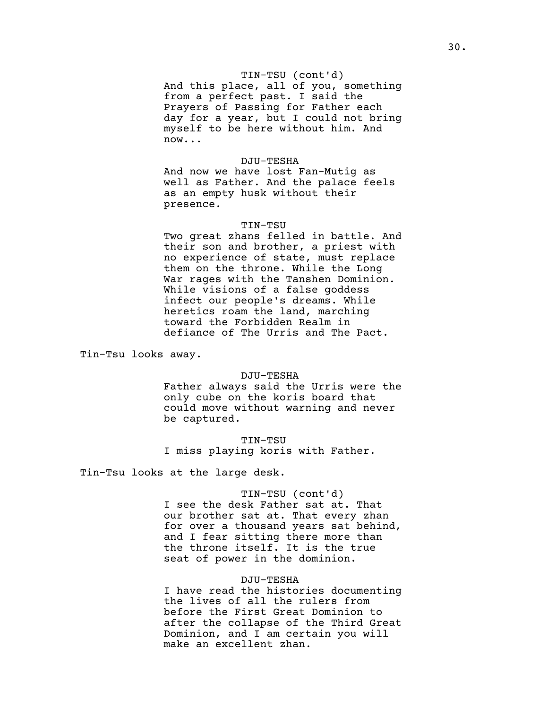### TIN-TSU (cont'd)

And this place, all of you, something from a perfect past. I said the Prayers of Passing for Father each day for a year, but I could not bring myself to be here without him. And now...

## DJU-TESHA

And now we have lost Fan-Mutig as well as Father. And the palace feels as an empty husk without their presence.

### TIN-TSU

Two great zhans felled in battle. And their son and brother, a priest with no experience of state, must replace them on the throne. While the Long War rages with the Tanshen Dominion. While visions of a false goddess infect our people's dreams. While heretics roam the land, marching toward the Forbidden Realm in defiance of The Urris and The Pact.

Tin-Tsu looks away.

### DJU-TESHA

Father always said the Urris were the only cube on the koris board that could move without warning and never be captured.

TIN-TSU I miss playing koris with Father.

Tin-Tsu looks at the large desk.

## TIN-TSU (cont'd)

I see the desk Father sat at. That our brother sat at. That every zhan for over a thousand years sat behind, and I fear sitting there more than the throne itself. It is the true seat of power in the dominion.

### DJU-TESHA

I have read the histories documenting the lives of all the rulers from before the First Great Dominion to after the collapse of the Third Great Dominion, and I am certain you will make an excellent zhan.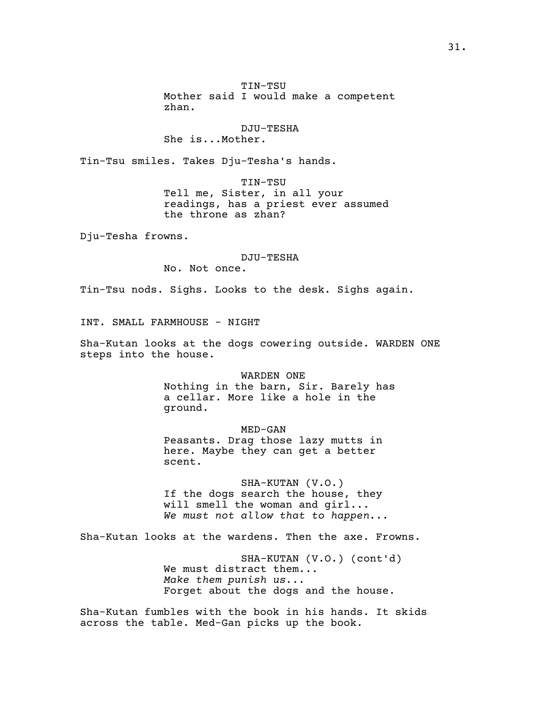TIN-TSU Mother said I would make a competent zhan.

# DJU-TESHA She is...Mother.

Tin-Tsu smiles. Takes Dju-Tesha's hands.

TIN-TSU Tell me, Sister, in all your readings, has a priest ever assumed the throne as zhan?

Dju-Tesha frowns.

### DJU-TESHA

No. Not once.

Tin-Tsu nods. Sighs. Looks to the desk. Sighs again.

INT. SMALL FARMHOUSE - NIGHT

Sha-Kutan looks at the dogs cowering outside. WARDEN ONE steps into the house.

> WARDEN ONE Nothing in the barn, Sir. Barely has a cellar. More like a hole in the ground.

MED-GAN Peasants. Drag those lazy mutts in here. Maybe they can get a better scent.

SHA-KUTAN (V.O.) If the dogs search the house, they will smell the woman and girl... *We must not allow that to happen...*

Sha-Kutan looks at the wardens. Then the axe. Frowns.

SHA-KUTAN (V.O.) (cont'd) We must distract them... *Make them punish us...* Forget about the dogs and the house.

Sha-Kutan fumbles with the book in his hands. It skids across the table. Med-Gan picks up the book.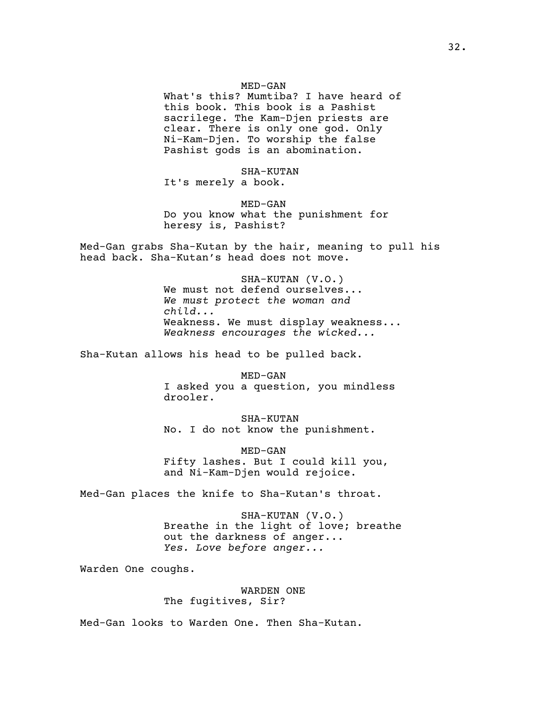What's this? Mumtiba? I have heard of this book. This book is a Pashist sacrilege. The Kam-Djen priests are clear. There is only one god. Only Ni-Kam-Djen. To worship the false Pashist gods is an abomination.

SHA-KUTAN It's merely a book.

MED-GAN Do you know what the punishment for heresy is, Pashist?

Med-Gan grabs Sha-Kutan by the hair, meaning to pull his head back. Sha-Kutan's head does not move.

> SHA-KUTAN (V.O.) We must not defend ourselves... *We must protect the woman and child...* Weakness. We must display weakness... *Weakness encourages the wicked...*

Sha-Kutan allows his head to be pulled back.

MED-GAN I asked you a question, you mindless drooler.

SHA-KUTAN No. I do not know the punishment.

MED-GAN Fifty lashes. But I could kill you, and Ni-Kam-Djen would rejoice.

Med-Gan places the knife to Sha-Kutan's throat.

SHA-KUTAN (V.O.) Breathe in the light of love; breathe out the darkness of anger... *Yes. Love before anger...*

Warden One coughs.

WARDEN ONE The fugitives, Sir?

Med-Gan looks to Warden One. Then Sha-Kutan.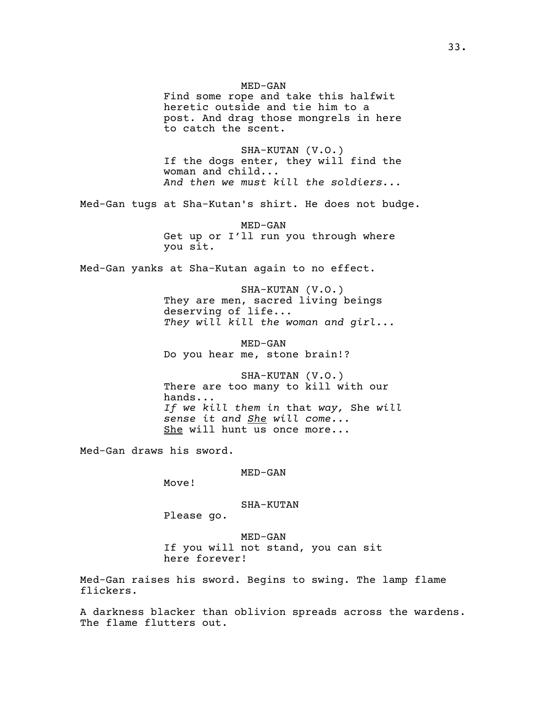Find some rope and take this halfwit heretic outside and tie him to a post. And drag those mongrels in here to catch the scent. SHA-KUTAN (V.O.) If the dogs enter, they will find the woman and child... *And then we must kill the soldiers...* Med-Gan tugs at Sha-Kutan's shirt. He does not budge. MED-GAN Get up or I'll run you through where you sit. Med-Gan yanks at Sha-Kutan again to no effect. SHA-KUTAN (V.O.) They are men, sacred living beings deserving of life... *They will kill the woman and girl...* MED-GAN Do you hear me, stone brain!? SHA-KUTAN (V.O.) There are too many to kill with our hands... *If we kill them in* that *way,* She *will sense it and She will come...* She will hunt us once more... Med-Gan draws his sword.

MED-GAN

MED-GAN

Move!

SHA-KUTAN

Please go.

MED-GAN If you will not stand, you can sit here forever!

Med-Gan raises his sword. Begins to swing. The lamp flame flickers.

A darkness blacker than oblivion spreads across the wardens. The flame flutters out.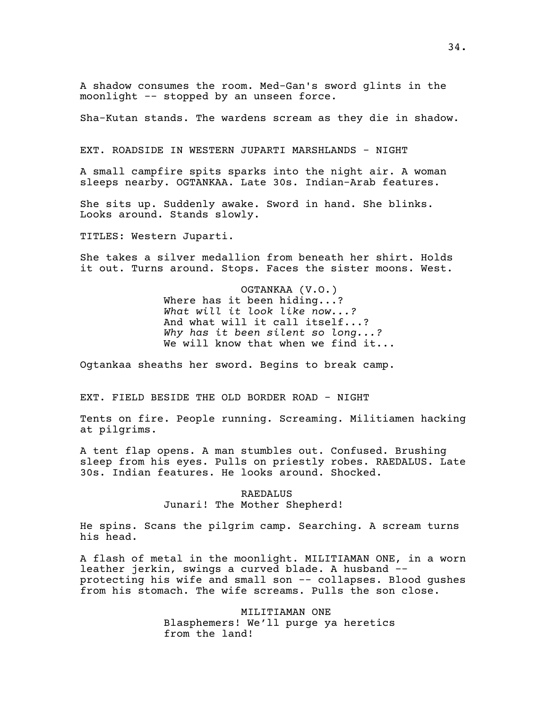A shadow consumes the room. Med-Gan's sword glints in the moonlight -- stopped by an unseen force.

Sha-Kutan stands. The wardens scream as they die in shadow.

EXT. ROADSIDE IN WESTERN JUPARTI MARSHLANDS - NIGHT

A small campfire spits sparks into the night air. A woman sleeps nearby. OGTANKAA. Late 30s. Indian-Arab features.

She sits up. Suddenly awake. Sword in hand. She blinks. Looks around. Stands slowly.

TITLES: Western Juparti.

She takes a silver medallion from beneath her shirt. Holds it out. Turns around. Stops. Faces the sister moons. West.

> OGTANKAA (V.O.) Where has it been hiding...? *What will it look like now...?* And what will it call itself...? *Why has it been silent so long...?* We will know that when we find it...

Ogtankaa sheaths her sword. Begins to break camp.

EXT. FIELD BESIDE THE OLD BORDER ROAD - NIGHT

Tents on fire. People running. Screaming. Militiamen hacking at pilgrims.

A tent flap opens. A man stumbles out. Confused. Brushing sleep from his eyes. Pulls on priestly robes. RAEDALUS. Late 30s. Indian features. He looks around. Shocked.

## RAEDALUS Junari! The Mother Shepherd!

He spins. Scans the pilgrim camp. Searching. A scream turns his head.

A flash of metal in the moonlight. MILITIAMAN ONE, in a worn leather jerkin, swings a curved blade. A husband - protecting his wife and small son -- collapses. Blood gushes from his stomach. The wife screams. Pulls the son close.

> MILITIAMAN ONE Blasphemers! We'll purge ya heretics from the land!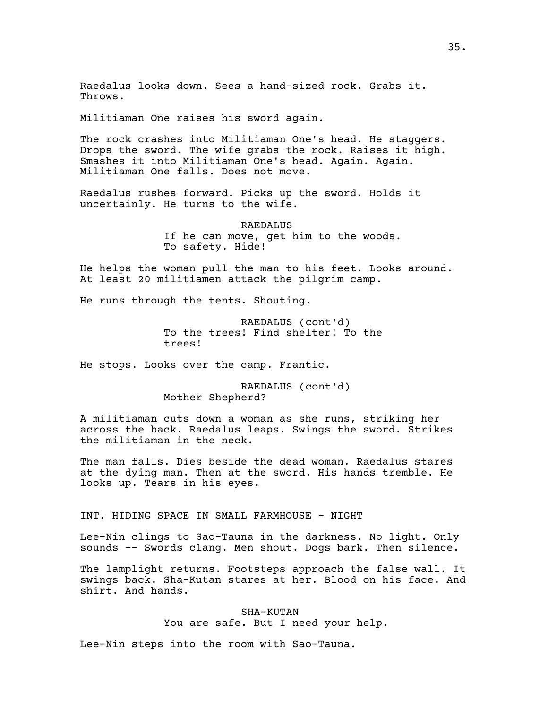Raedalus looks down. Sees a hand-sized rock. Grabs it. Throws.

Militiaman One raises his sword again.

The rock crashes into Militiaman One's head. He staggers. Drops the sword. The wife grabs the rock. Raises it high. Smashes it into Militiaman One's head. Again. Again. Militiaman One falls. Does not move.

Raedalus rushes forward. Picks up the sword. Holds it uncertainly. He turns to the wife.

> **RAEDALUS** If he can move, get him to the woods. To safety. Hide!

He helps the woman pull the man to his feet. Looks around. At least 20 militiamen attack the pilgrim camp.

He runs through the tents. Shouting.

RAEDALUS (cont'd) To the trees! Find shelter! To the trees!

He stops. Looks over the camp. Frantic.

RAEDALUS (cont'd) Mother Shepherd?

A militiaman cuts down a woman as she runs, striking her across the back. Raedalus leaps. Swings the sword. Strikes the militiaman in the neck.

The man falls. Dies beside the dead woman. Raedalus stares at the dying man. Then at the sword. His hands tremble. He looks up. Tears in his eyes.

INT. HIDING SPACE IN SMALL FARMHOUSE - NIGHT

Lee-Nin clings to Sao-Tauna in the darkness. No light. Only sounds -- Swords clang. Men shout. Dogs bark. Then silence.

The lamplight returns. Footsteps approach the false wall. It swings back. Sha-Kutan stares at her. Blood on his face. And shirt. And hands.

> SHA-KUTAN You are safe. But I need your help.

Lee-Nin steps into the room with Sao-Tauna.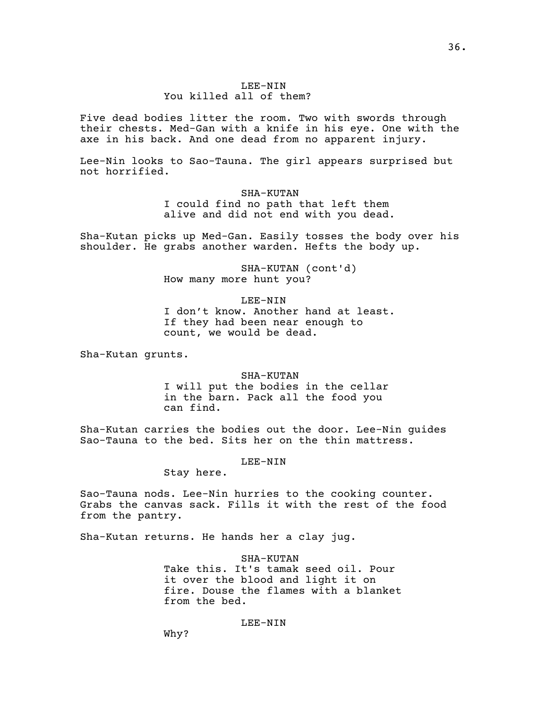# LEE-NIN You killed all of them?

Five dead bodies litter the room. Two with swords through their chests. Med-Gan with a knife in his eye. One with the axe in his back. And one dead from no apparent injury.

Lee-Nin looks to Sao-Tauna. The girl appears surprised but not horrified.

> SHA-KUTAN I could find no path that left them alive and did not end with you dead.

Sha-Kutan picks up Med-Gan. Easily tosses the body over his shoulder. He grabs another warden. Hefts the body up.

> SHA-KUTAN (cont'd) How many more hunt you?

LEE-NIN I don't know. Another hand at least. If they had been near enough to count, we would be dead.

Sha-Kutan grunts.

SHA-KUTAN I will put the bodies in the cellar in the barn. Pack all the food you can find.

Sha-Kutan carries the bodies out the door. Lee-Nin guides Sao-Tauna to the bed. Sits her on the thin mattress.

LEE-NIN

Stay here.

Sao-Tauna nods. Lee-Nin hurries to the cooking counter. Grabs the canvas sack. Fills it with the rest of the food from the pantry.

Sha-Kutan returns. He hands her a clay jug.

SHA-KUTAN Take this. It's tamak seed oil. Pour it over the blood and light it on fire. Douse the flames with a blanket from the bed.

## LEE-NIN

Why?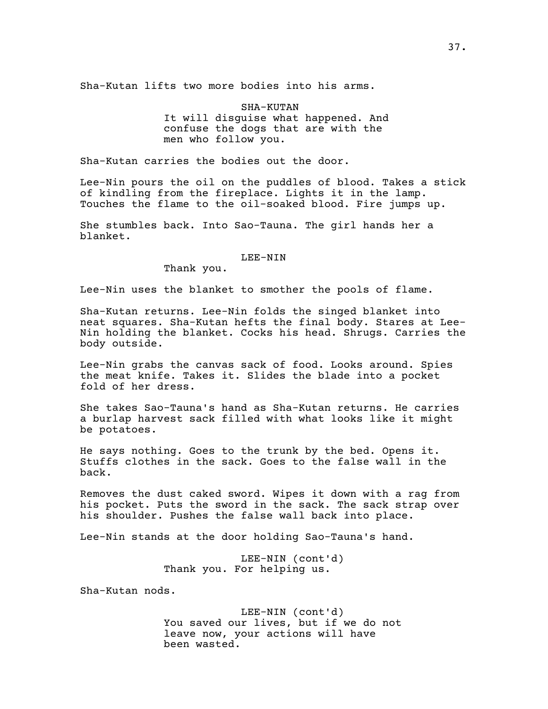Sha-Kutan lifts two more bodies into his arms.

SHA-KUTAN It will disguise what happened. And confuse the dogs that are with the men who follow you.

Sha-Kutan carries the bodies out the door.

Lee-Nin pours the oil on the puddles of blood. Takes a stick of kindling from the fireplace. Lights it in the lamp. Touches the flame to the oil-soaked blood. Fire jumps up.

She stumbles back. Into Sao-Tauna. The girl hands her a blanket.

#### LEE-NIN

Thank you.

Lee-Nin uses the blanket to smother the pools of flame.

Sha-Kutan returns. Lee-Nin folds the singed blanket into neat squares. Sha-Kutan hefts the final body. Stares at Lee-Nin holding the blanket. Cocks his head. Shrugs. Carries the body outside.

Lee-Nin grabs the canvas sack of food. Looks around. Spies the meat knife. Takes it. Slides the blade into a pocket fold of her dress.

She takes Sao-Tauna's hand as Sha-Kutan returns. He carries a burlap harvest sack filled with what looks like it might be potatoes.

He says nothing. Goes to the trunk by the bed. Opens it. Stuffs clothes in the sack. Goes to the false wall in the back.

Removes the dust caked sword. Wipes it down with a rag from his pocket. Puts the sword in the sack. The sack strap over his shoulder. Pushes the false wall back into place.

Lee-Nin stands at the door holding Sao-Tauna's hand.

LEE-NIN (cont'd) Thank you. For helping us.

Sha-Kutan nods.

LEE-NIN (cont'd) You saved our lives, but if we do not leave now, your actions will have been wasted.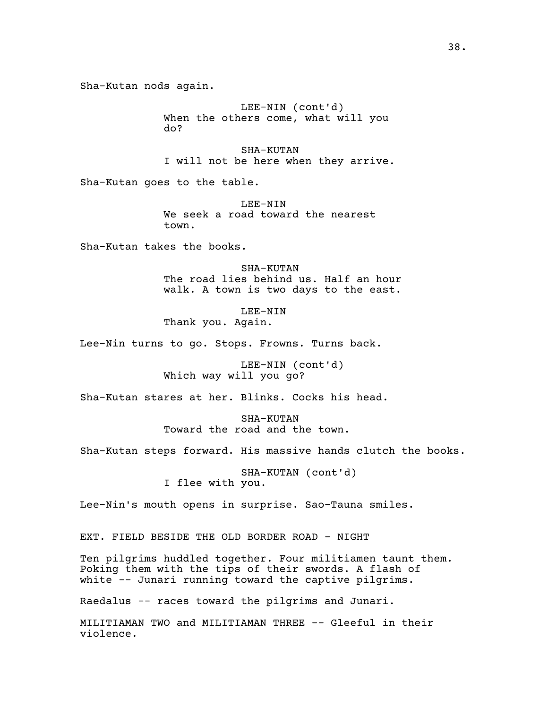Sha-Kutan nods again.

LEE-NIN (cont'd) When the others come, what will you do?

SHA-KUTAN I will not be here when they arrive.

Sha-Kutan goes to the table.

LEE-NIN We seek a road toward the nearest town.

Sha-Kutan takes the books.

SHA-KUTAN The road lies behind us. Half an hour walk. A town is two days to the east.

LEE-NIN Thank you. Again.

Lee-Nin turns to go. Stops. Frowns. Turns back.

LEE-NIN (cont'd) Which way will you go?

Sha-Kutan stares at her. Blinks. Cocks his head.

SHA-KUTAN Toward the road and the town.

Sha-Kutan steps forward. His massive hands clutch the books.

SHA-KUTAN (cont'd) I flee with you.

Lee-Nin's mouth opens in surprise. Sao-Tauna smiles.

EXT. FIELD BESIDE THE OLD BORDER ROAD - NIGHT

Ten pilgrims huddled together. Four militiamen taunt them. Poking them with the tips of their swords. A flash of white -- Junari running toward the captive pilgrims.

Raedalus -- races toward the pilgrims and Junari.

MILITIAMAN TWO and MILITIAMAN THREE -- Gleeful in their violence.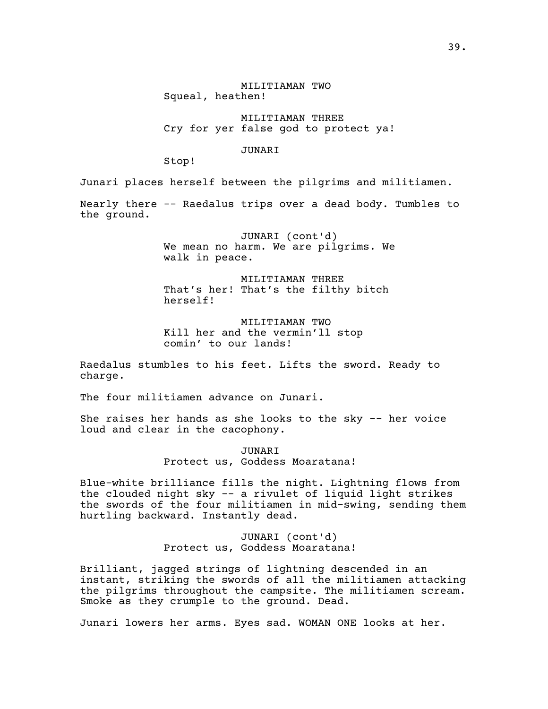MILITIAMAN TWO Squeal, heathen!

MILITIAMAN THREE Cry for yer false god to protect ya!

## JUNARI

Stop!

Junari places herself between the pilgrims and militiamen.

Nearly there -- Raedalus trips over a dead body. Tumbles to the ground.

> JUNARI (cont'd) We mean no harm. We are pilgrims. We walk in peace.

MILITIAMAN THREE That's her! That's the filthy bitch herself!

MILITIAMAN TWO Kill her and the vermin'll stop comin' to our lands!

Raedalus stumbles to his feet. Lifts the sword. Ready to charge.

The four militiamen advance on Junari.

She raises her hands as she looks to the sky -- her voice loud and clear in the cacophony.

> JUNARI Protect us, Goddess Moaratana!

Blue-white brilliance fills the night. Lightning flows from the clouded night sky -- a rivulet of liquid light strikes the swords of the four militiamen in mid-swing, sending them hurtling backward. Instantly dead.

> JUNARI (cont'd) Protect us, Goddess Moaratana!

Brilliant, jagged strings of lightning descended in an instant, striking the swords of all the militiamen attacking the pilgrims throughout the campsite. The militiamen scream. Smoke as they crumple to the ground. Dead.

Junari lowers her arms. Eyes sad. WOMAN ONE looks at her.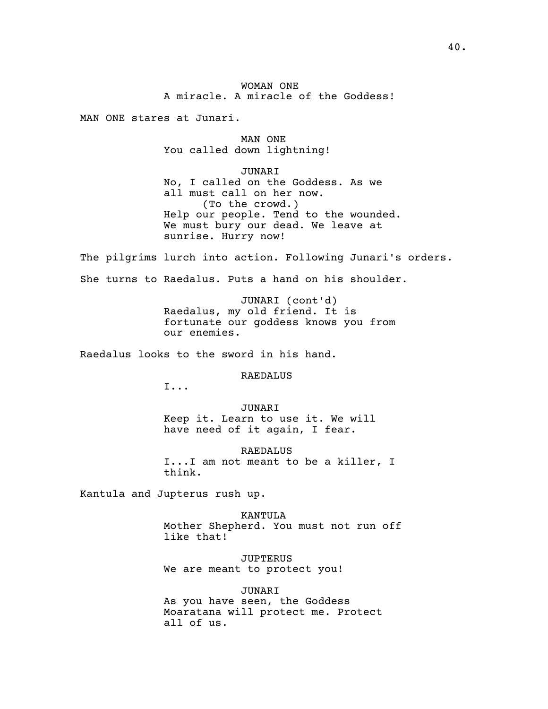WOMAN ONE A miracle. A miracle of the Goddess!

MAN ONE stares at Junari.

MAN ONE You called down lightning!

JUNARI No, I called on the Goddess. As we all must call on her now. (To the crowd.) Help our people. Tend to the wounded. We must bury our dead. We leave at sunrise. Hurry now!

The pilgrims lurch into action. Following Junari's orders.

She turns to Raedalus. Puts a hand on his shoulder.

JUNARI (cont'd) Raedalus, my old friend. It is fortunate our goddess knows you from our enemies.

Raedalus looks to the sword in his hand.

RAEDALUS

I...

JUNARI Keep it. Learn to use it. We will have need of it again, I fear.

RAEDALUS I...I am not meant to be a killer, I think.

Kantula and Jupterus rush up.

KANTULA Mother Shepherd. You must not run off like that!

JUPTERUS We are meant to protect you!

JUNARI

As you have seen, the Goddess Moaratana will protect me. Protect all of us.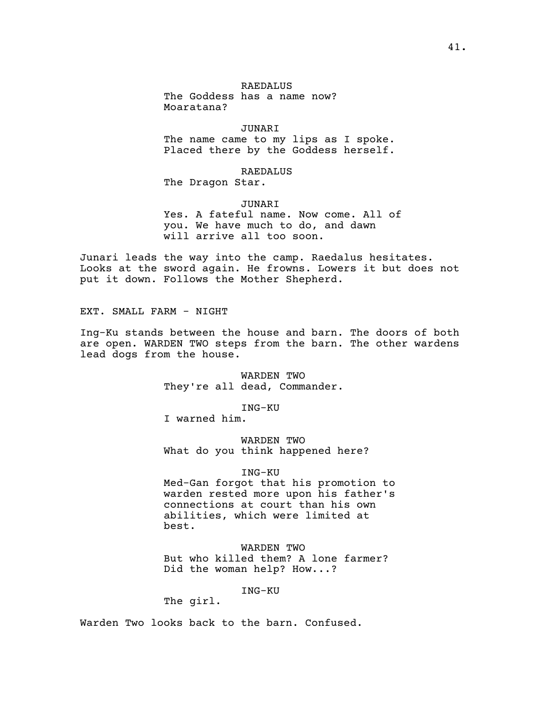# RAEDALUS

The Goddess has a name now? Moaratana?

JUNARI The name came to my lips as I spoke. Placed there by the Goddess herself.

RAEDALUS

The Dragon Star.

JUNARI

Yes. A fateful name. Now come. All of you. We have much to do, and dawn will arrive all too soon.

Junari leads the way into the camp. Raedalus hesitates. Looks at the sword again. He frowns. Lowers it but does not put it down. Follows the Mother Shepherd.

EXT. SMALL FARM - NIGHT

Ing-Ku stands between the house and barn. The doors of both are open. WARDEN TWO steps from the barn. The other wardens lead dogs from the house.

> WARDEN TWO They're all dead, Commander.

> > ING-KU

I warned him.

WARDEN TWO What do you think happened here?

## ING-KU

Med-Gan forgot that his promotion to warden rested more upon his father's connections at court than his own abilities, which were limited at best.

WARDEN TWO But who killed them? A lone farmer? Did the woman help? How...?

ING-KU

The girl.

Warden Two looks back to the barn. Confused.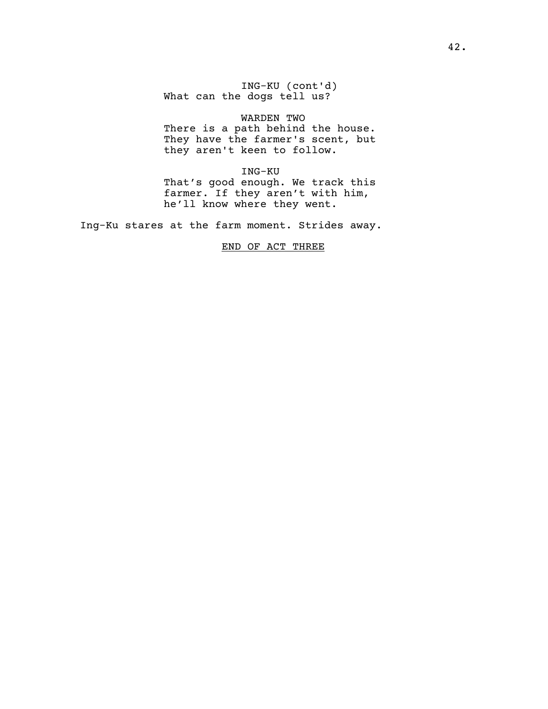ING-KU (cont'd) What can the dogs tell us?

# WARDEN TWO

There is a path behind the house. They have the farmer's scent, but they aren't keen to follow.

ING-KU

That's good enough. We track this farmer. If they aren't with him, he'll know where they went.

Ing-Ku stares at the farm moment. Strides away.

# END OF ACT THREE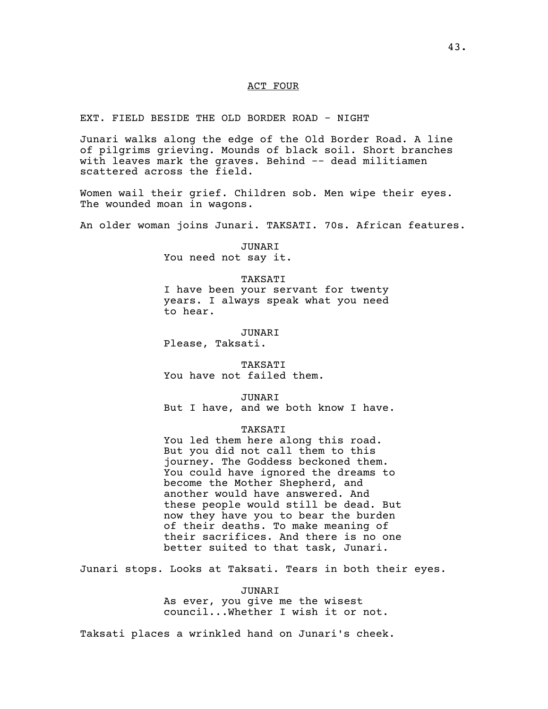## ACT FOUR

EXT. FIELD BESIDE THE OLD BORDER ROAD - NIGHT

Junari walks along the edge of the Old Border Road. A line of pilgrims grieving. Mounds of black soil. Short branches with leaves mark the graves. Behind -- dead militiamen scattered across the field.

Women wail their grief. Children sob. Men wipe their eyes. The wounded moan in wagons.

An older woman joins Junari. TAKSATI. 70s. African features.

JUNARI You need not say it.

TAKSATI I have been your servant for twenty years. I always speak what you need to hear.

JUNARI Please, Taksati.

TAKSATI You have not failed them.

JUNARI But I have, and we both know I have.

## TAKSATI

You led them here along this road. But you did not call them to this journey. The Goddess beckoned them. You could have ignored the dreams to become the Mother Shepherd, and another would have answered. And these people would still be dead. But now they have you to bear the burden of their deaths. To make meaning of their sacrifices. And there is no one better suited to that task, Junari.

Junari stops. Looks at Taksati. Tears in both their eyes.

JUNARI

As ever, you give me the wisest council...Whether I wish it or not.

Taksati places a wrinkled hand on Junari's cheek.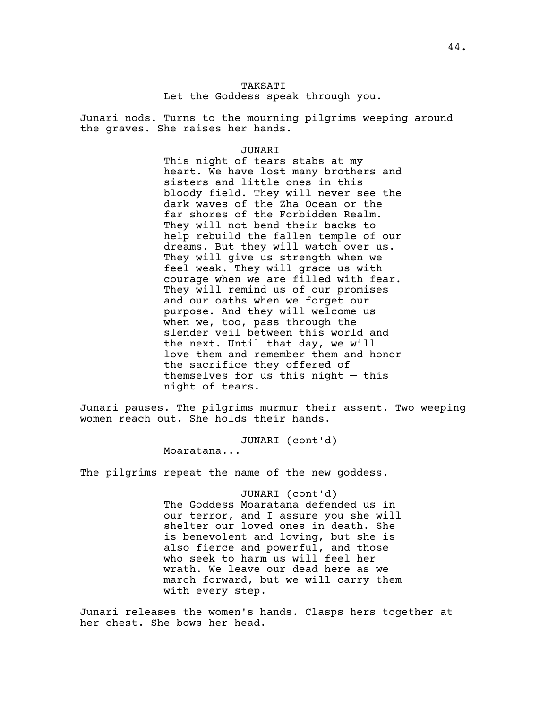# TAKSATI Let the Goddess speak through you.

Junari nods. Turns to the mourning pilgrims weeping around the graves. She raises her hands.

JUNARI

This night of tears stabs at my heart. We have lost many brothers and sisters and little ones in this bloody field. They will never see the dark waves of the Zha Ocean or the far shores of the Forbidden Realm. They will not bend their backs to help rebuild the fallen temple of our dreams. But they will watch over us. They will give us strength when we feel weak. They will grace us with courage when we are filled with fear. They will remind us of our promises and our oaths when we forget our purpose. And they will welcome us when we, too, pass through the slender veil between this world and the next. Until that day, we will love them and remember them and honor the sacrifice they offered of themselves for us this night  $-$  this night of tears.

Junari pauses. The pilgrims murmur their assent. Two weeping women reach out. She holds their hands.

> JUNARI (cont'd) Moaratana...

The pilgrims repeat the name of the new goddess.

JUNARI (cont'd) The Goddess Moaratana defended us in our terror, and I assure you she will shelter our loved ones in death. She is benevolent and loving, but she is also fierce and powerful, and those who seek to harm us will feel her wrath. We leave our dead here as we march forward, but we will carry them with every step.

Junari releases the women's hands. Clasps hers together at her chest. She bows her head.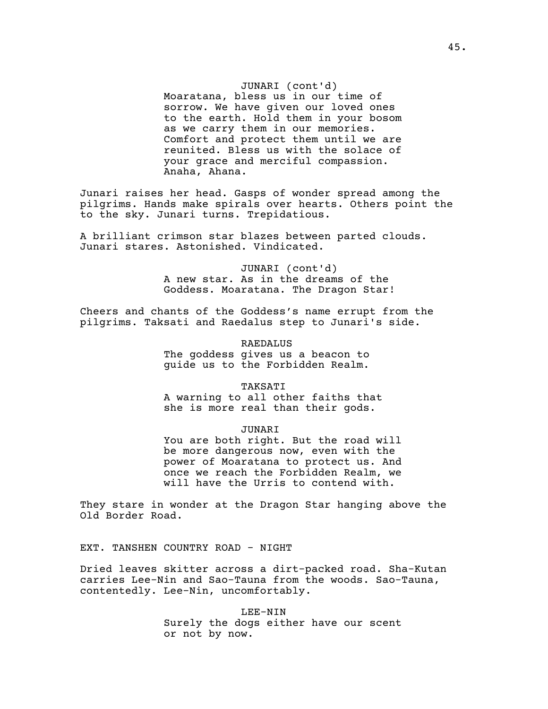## JUNARI (cont'd)

Moaratana, bless us in our time of sorrow. We have given our loved ones to the earth. Hold them in your bosom as we carry them in our memories. Comfort and protect them until we are reunited. Bless us with the solace of your grace and merciful compassion. Anaha, Ahana.

Junari raises her head. Gasps of wonder spread among the pilgrims. Hands make spirals over hearts. Others point the to the sky. Junari turns. Trepidatious.

A brilliant crimson star blazes between parted clouds. Junari stares. Astonished. Vindicated.

> JUNARI (cont'd) A new star. As in the dreams of the Goddess. Moaratana. The Dragon Star!

Cheers and chants of the Goddess's name errupt from the pilgrims. Taksati and Raedalus step to Junari's side.

> **RAEDALUS** The goddess gives us a beacon to guide us to the Forbidden Realm.

**TAKSATI** A warning to all other faiths that she is more real than their gods.

JUNARI You are both right. But the road will be more dangerous now, even with the power of Moaratana to protect us. And

once we reach the Forbidden Realm, we will have the Urris to contend with.

They stare in wonder at the Dragon Star hanging above the Old Border Road.

EXT. TANSHEN COUNTRY ROAD - NIGHT

Dried leaves skitter across a dirt-packed road. Sha-Kutan carries Lee-Nin and Sao-Tauna from the woods. Sao-Tauna, contentedly. Lee-Nin, uncomfortably.

> LEE-NIN Surely the dogs either have our scent or not by now.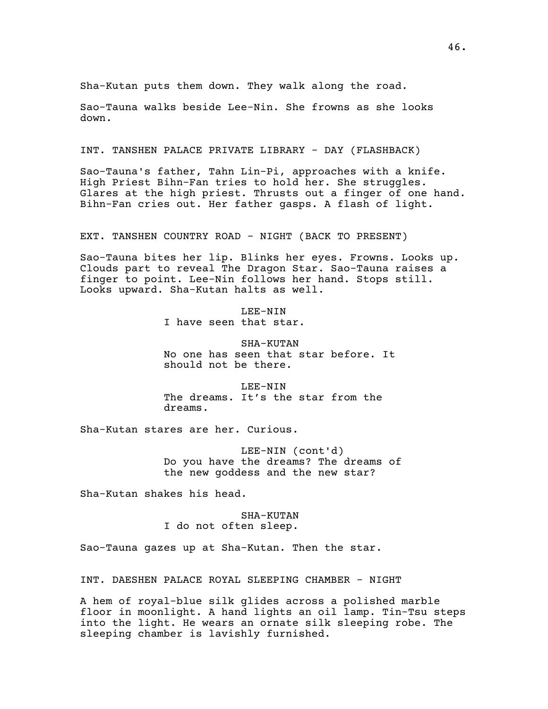Sha-Kutan puts them down. They walk along the road.

Sao-Tauna walks beside Lee-Nin. She frowns as she looks down.

INT. TANSHEN PALACE PRIVATE LIBRARY - DAY (FLASHBACK)

Sao-Tauna's father, Tahn Lin-Pi, approaches with a knife. High Priest Bihn-Fan tries to hold her. She struggles. Glares at the high priest. Thrusts out a finger of one hand. Bihn-Fan cries out. Her father gasps. A flash of light.

EXT. TANSHEN COUNTRY ROAD - NIGHT (BACK TO PRESENT)

Sao-Tauna bites her lip. Blinks her eyes. Frowns. Looks up. Clouds part to reveal The Dragon Star. Sao-Tauna raises a finger to point. Lee-Nin follows her hand. Stops still. Looks upward. Sha-Kutan halts as well.

> LEE-NIN I have seen that star.

SHA-KUTAN No one has seen that star before. It should not be there.

LEE-NIN The dreams. It's the star from the dreams.

Sha-Kutan stares are her. Curious.

LEE-NIN (cont'd) Do you have the dreams? The dreams of the new goddess and the new star?

Sha-Kutan shakes his head.

SHA-KUTAN I do not often sleep.

Sao-Tauna gazes up at Sha-Kutan. Then the star.

INT. DAESHEN PALACE ROYAL SLEEPING CHAMBER - NIGHT

A hem of royal-blue silk glides across a polished marble floor in moonlight. A hand lights an oil lamp. Tin-Tsu steps into the light. He wears an ornate silk sleeping robe. The sleeping chamber is lavishly furnished.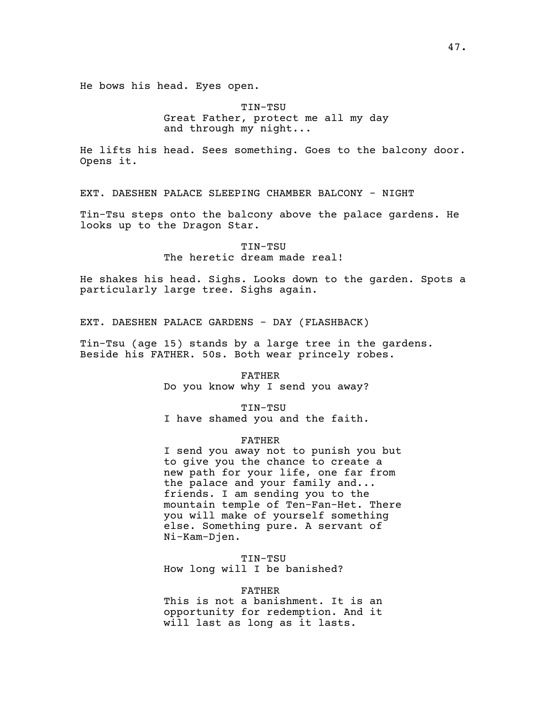He bows his head. Eyes open.

TIN-TSU Great Father, protect me all my day and through my night...

He lifts his head. Sees something. Goes to the balcony door. Opens it.

EXT. DAESHEN PALACE SLEEPING CHAMBER BALCONY - NIGHT

Tin-Tsu steps onto the balcony above the palace gardens. He looks up to the Dragon Star.

> TIN-TSU The heretic dream made real!

He shakes his head. Sighs. Looks down to the garden. Spots a particularly large tree. Sighs again.

EXT. DAESHEN PALACE GARDENS - DAY (FLASHBACK)

Tin-Tsu (age 15) stands by a large tree in the gardens. Beside his FATHER. 50s. Both wear princely robes.

> FATHER Do you know why I send you away?

> > TIN-TSU

I have shamed you and the faith.

## FATHER

I send you away not to punish you but to give you the chance to create a new path for your life, one far from the palace and your family and... friends. I am sending you to the mountain temple of Ten-Fan-Het. There you will make of yourself something else. Something pure. A servant of Ni-Kam-Djen.

TIN-TSU How long will I be banished?

# FATHER

This is not a banishment. It is an opportunity for redemption. And it will last as long as it lasts.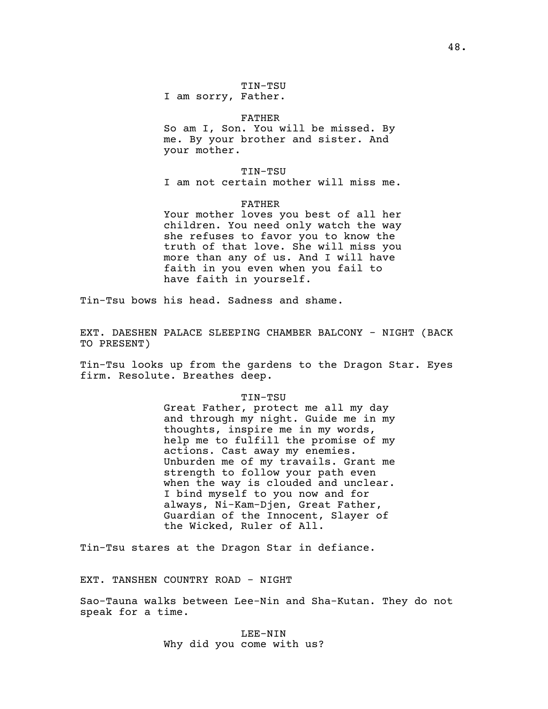### FATHER

So am I, Son. You will be missed. By me. By your brother and sister. And your mother.

TIN-TSU

I am not certain mother will miss me.

FATHER

Your mother loves you best of all her children. You need only watch the way she refuses to favor you to know the truth of that love. She will miss you more than any of us. And I will have faith in you even when you fail to have faith in yourself.

Tin-Tsu bows his head. Sadness and shame.

EXT. DAESHEN PALACE SLEEPING CHAMBER BALCONY - NIGHT (BACK TO PRESENT)

Tin-Tsu looks up from the gardens to the Dragon Star. Eyes firm. Resolute. Breathes deep.

#### TIN-TSU

Great Father, protect me all my day and through my night. Guide me in my thoughts, inspire me in my words, help me to fulfill the promise of my actions. Cast away my enemies. Unburden me of my travails. Grant me strength to follow your path even when the way is clouded and unclear. I bind myself to you now and for always, Ni-Kam-Djen, Great Father, Guardian of the Innocent, Slayer of the Wicked, Ruler of All.

Tin-Tsu stares at the Dragon Star in defiance.

EXT. TANSHEN COUNTRY ROAD - NIGHT

Sao-Tauna walks between Lee-Nin and Sha-Kutan. They do not speak for a time.

> LEE-NIN Why did you come with us?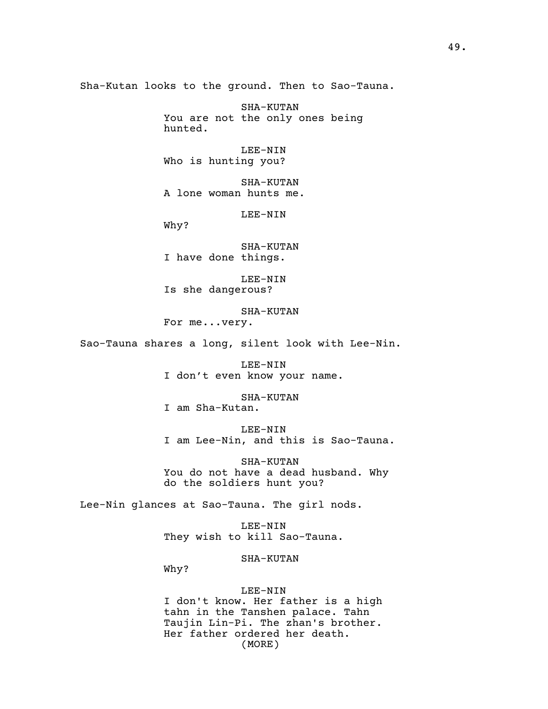Sha-Kutan looks to the ground. Then to Sao-Tauna.

SHA-KUTAN You are not the only ones being hunted.

LEE-NIN Who is hunting you?

SHA-KUTAN A lone woman hunts me.

LEE-NIN

Why?

SHA-KUTAN I have done things.

LEE-NIN Is she dangerous?

SHA-KUTAN For me...very.

Sao-Tauna shares a long, silent look with Lee-Nin.

LEE-NIN I don't even know your name.

SHA-KUTAN I am Sha-Kutan.

LEE-NIN I am Lee-Nin, and this is Sao-Tauna.

SHA-KUTAN You do not have a dead husband. Why do the soldiers hunt you?

Lee-Nin glances at Sao-Tauna. The girl nods.

LEE-NIN They wish to kill Sao-Tauna.

SHA-KUTAN

Why?

# LEE-NIN

I don't know. Her father is a high tahn in the Tanshen palace. Tahn Taujin Lin-Pi. The zhan's brother. Her father ordered her death. (MORE)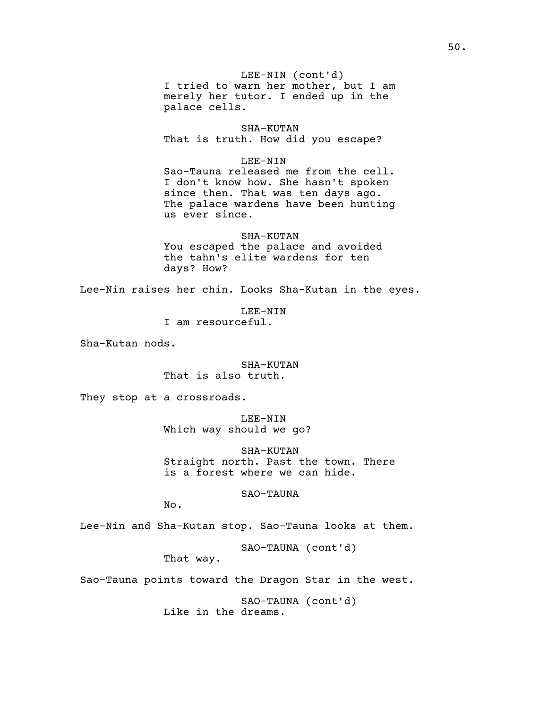I tried to warn her mother, but I am LEE-NIN (cont'd) merely her tutor. I ended up in the palace cells.

SHA-KUTAN That is truth. How did you escape?

LEE-NIN

Sao-Tauna released me from the cell. I don't know how. She hasn't spoken since then. That was ten days ago. The palace wardens have been hunting us ever since.

SHA-KUTAN You escaped the palace and avoided the tahn's elite wardens for ten days? How?

Lee-Nin raises her chin. Looks Sha-Kutan in the eyes.

LEE-NIN I am resourceful.

Sha-Kutan nods.

SHA-KUTAN That is also truth.

They stop at a crossroads.

LEE-NIN Which way should we go?

SHA-KUTAN Straight north. Past the town. There is a forest where we can hide.

SAO-TAUNA

No.

Lee-Nin and Sha-Kutan stop. Sao-Tauna looks at them.

SAO-TAUNA (cont'd)

That way.

Sao-Tauna points toward the Dragon Star in the west.

SAO-TAUNA (cont'd) Like in the dreams.